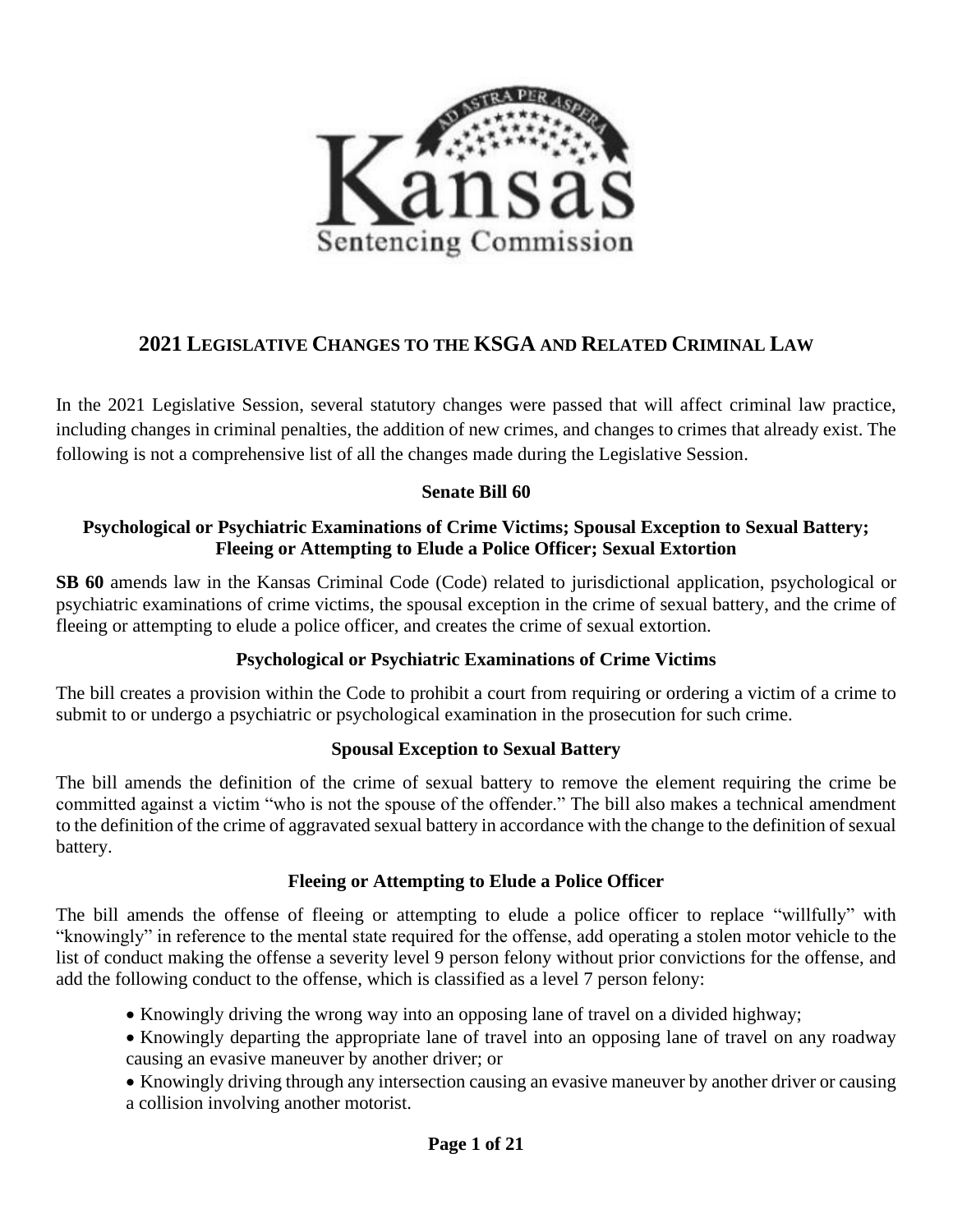

# **2021 LEGISLATIVE CHANGES TO THE KSGA AND RELATED CRIMINAL LAW**

In the 2021 Legislative Session, several statutory changes were passed that will affect criminal law practice, including changes in criminal penalties, the addition of new crimes, and changes to crimes that already exist. The following is not a comprehensive list of all the changes made during the Legislative Session.

### **Senate Bill 60**

### **Psychological or Psychiatric Examinations of Crime Victims; Spousal Exception to Sexual Battery; Fleeing or Attempting to Elude a Police Officer; Sexual Extortion**

**SB 60** amends law in the Kansas Criminal Code (Code) related to jurisdictional application, psychological or psychiatric examinations of crime victims, the spousal exception in the crime of sexual battery, and the crime of fleeing or attempting to elude a police officer, and creates the crime of sexual extortion.

### **Psychological or Psychiatric Examinations of Crime Victims**

The bill creates a provision within the Code to prohibit a court from requiring or ordering a victim of a crime to submit to or undergo a psychiatric or psychological examination in the prosecution for such crime.

#### **Spousal Exception to Sexual Battery**

The bill amends the definition of the crime of sexual battery to remove the element requiring the crime be committed against a victim "who is not the spouse of the offender." The bill also makes a technical amendment to the definition of the crime of aggravated sexual battery in accordance with the change to the definition of sexual battery.

#### **Fleeing or Attempting to Elude a Police Officer**

The bill amends the offense of fleeing or attempting to elude a police officer to replace "willfully" with "knowingly" in reference to the mental state required for the offense, add operating a stolen motor vehicle to the list of conduct making the offense a severity level 9 person felony without prior convictions for the offense, and add the following conduct to the offense, which is classified as a level 7 person felony:

- Knowingly driving the wrong way into an opposing lane of travel on a divided highway;
- Knowingly departing the appropriate lane of travel into an opposing lane of travel on any roadway causing an evasive maneuver by another driver; or
- Knowingly driving through any intersection causing an evasive maneuver by another driver or causing a collision involving another motorist.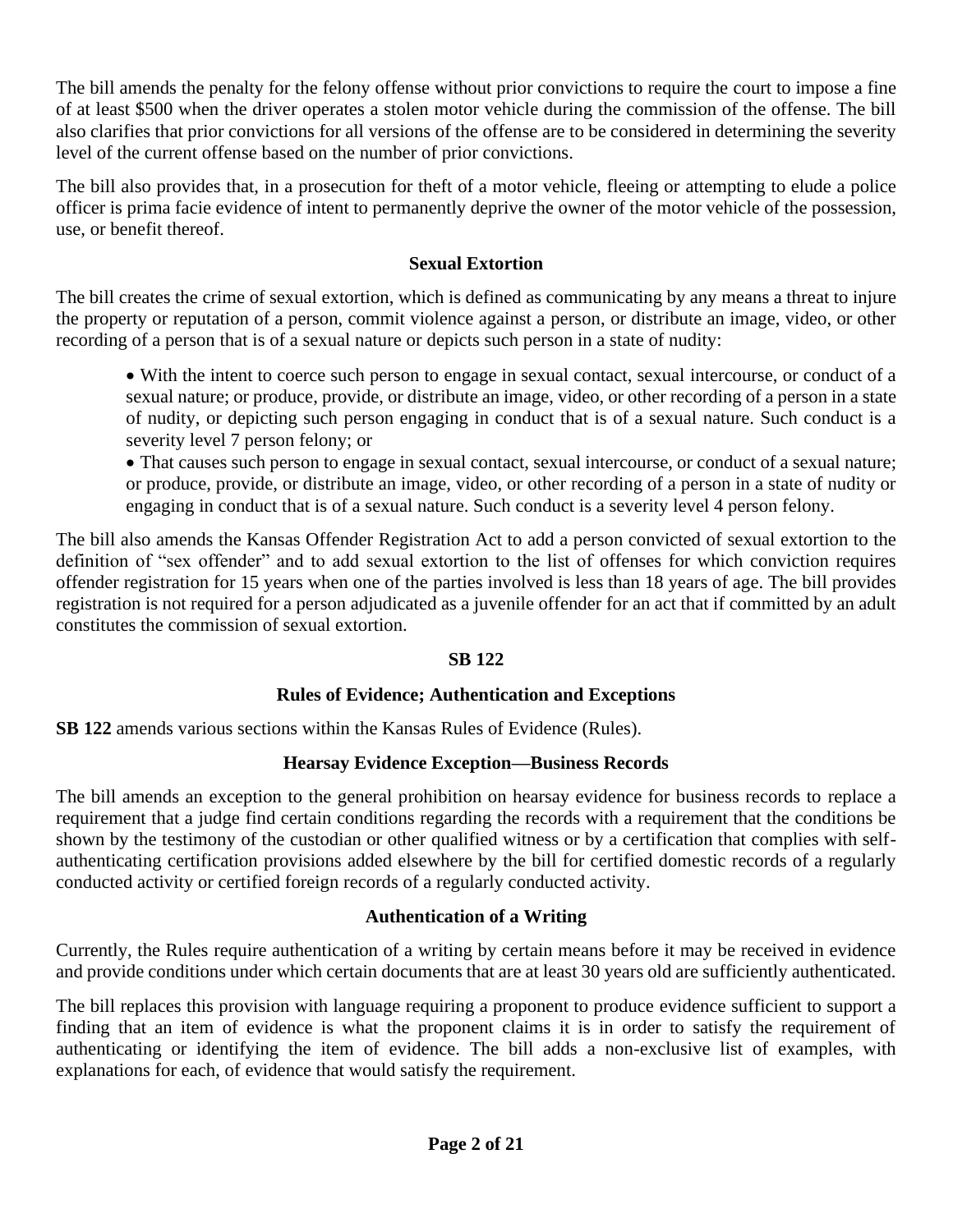The bill amends the penalty for the felony offense without prior convictions to require the court to impose a fine of at least \$500 when the driver operates a stolen motor vehicle during the commission of the offense. The bill also clarifies that prior convictions for all versions of the offense are to be considered in determining the severity level of the current offense based on the number of prior convictions.

The bill also provides that, in a prosecution for theft of a motor vehicle, fleeing or attempting to elude a police officer is prima facie evidence of intent to permanently deprive the owner of the motor vehicle of the possession, use, or benefit thereof.

### **Sexual Extortion**

The bill creates the crime of sexual extortion, which is defined as communicating by any means a threat to injure the property or reputation of a person, commit violence against a person, or distribute an image, video, or other recording of a person that is of a sexual nature or depicts such person in a state of nudity:

• With the intent to coerce such person to engage in sexual contact, sexual intercourse, or conduct of a sexual nature; or produce, provide, or distribute an image, video, or other recording of a person in a state of nudity, or depicting such person engaging in conduct that is of a sexual nature. Such conduct is a severity level 7 person felony; or

• That causes such person to engage in sexual contact, sexual intercourse, or conduct of a sexual nature; or produce, provide, or distribute an image, video, or other recording of a person in a state of nudity or engaging in conduct that is of a sexual nature. Such conduct is a severity level 4 person felony.

The bill also amends the Kansas Offender Registration Act to add a person convicted of sexual extortion to the definition of "sex offender" and to add sexual extortion to the list of offenses for which conviction requires offender registration for 15 years when one of the parties involved is less than 18 years of age. The bill provides registration is not required for a person adjudicated as a juvenile offender for an act that if committed by an adult constitutes the commission of sexual extortion.

#### **SB 122**

### **Rules of Evidence; Authentication and Exceptions**

**SB 122** amends various sections within the Kansas Rules of Evidence (Rules).

### **Hearsay Evidence Exception—Business Records**

The bill amends an exception to the general prohibition on hearsay evidence for business records to replace a requirement that a judge find certain conditions regarding the records with a requirement that the conditions be shown by the testimony of the custodian or other qualified witness or by a certification that complies with selfauthenticating certification provisions added elsewhere by the bill for certified domestic records of a regularly conducted activity or certified foreign records of a regularly conducted activity.

#### **Authentication of a Writing**

Currently, the Rules require authentication of a writing by certain means before it may be received in evidence and provide conditions under which certain documents that are at least 30 years old are sufficiently authenticated.

The bill replaces this provision with language requiring a proponent to produce evidence sufficient to support a finding that an item of evidence is what the proponent claims it is in order to satisfy the requirement of authenticating or identifying the item of evidence. The bill adds a non-exclusive list of examples, with explanations for each, of evidence that would satisfy the requirement.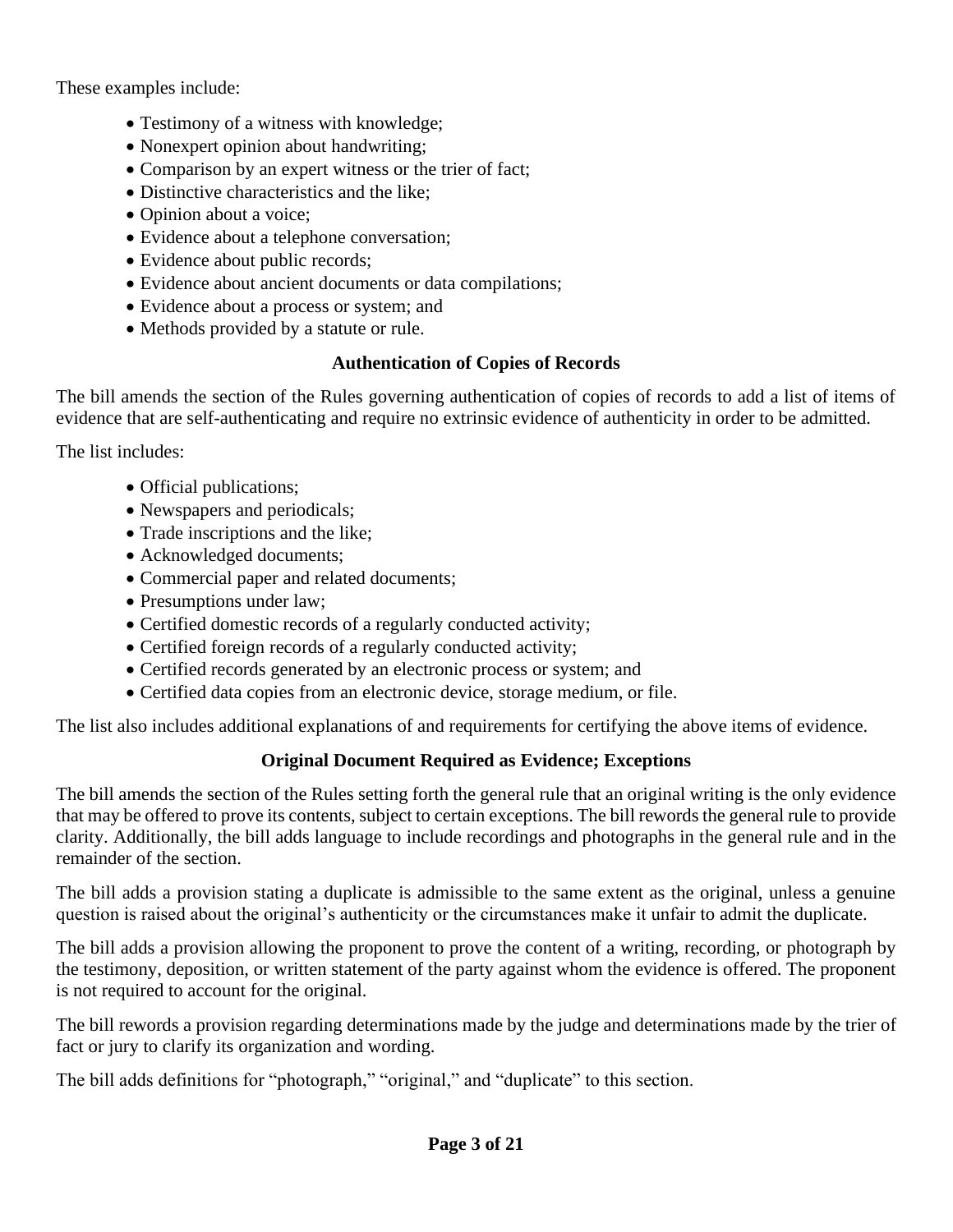These examples include:

- Testimony of a witness with knowledge;
- Nonexpert opinion about handwriting;
- Comparison by an expert witness or the trier of fact;
- Distinctive characteristics and the like:
- Opinion about a voice;
- Evidence about a telephone conversation;
- Evidence about public records;
- Evidence about ancient documents or data compilations;
- Evidence about a process or system; and
- Methods provided by a statute or rule.

### **Authentication of Copies of Records**

The bill amends the section of the Rules governing authentication of copies of records to add a list of items of evidence that are self-authenticating and require no extrinsic evidence of authenticity in order to be admitted.

The list includes:

- Official publications;
- Newspapers and periodicals;
- Trade inscriptions and the like;
- Acknowledged documents;
- Commercial paper and related documents;
- Presumptions under law;
- Certified domestic records of a regularly conducted activity;
- Certified foreign records of a regularly conducted activity;
- Certified records generated by an electronic process or system; and
- Certified data copies from an electronic device, storage medium, or file.

The list also includes additional explanations of and requirements for certifying the above items of evidence.

# **Original Document Required as Evidence; Exceptions**

The bill amends the section of the Rules setting forth the general rule that an original writing is the only evidence that may be offered to prove its contents, subject to certain exceptions. The bill rewords the general rule to provide clarity. Additionally, the bill adds language to include recordings and photographs in the general rule and in the remainder of the section.

The bill adds a provision stating a duplicate is admissible to the same extent as the original, unless a genuine question is raised about the original's authenticity or the circumstances make it unfair to admit the duplicate.

The bill adds a provision allowing the proponent to prove the content of a writing, recording, or photograph by the testimony, deposition, or written statement of the party against whom the evidence is offered. The proponent is not required to account for the original.

The bill rewords a provision regarding determinations made by the judge and determinations made by the trier of fact or jury to clarify its organization and wording.

The bill adds definitions for "photograph," "original," and "duplicate" to this section.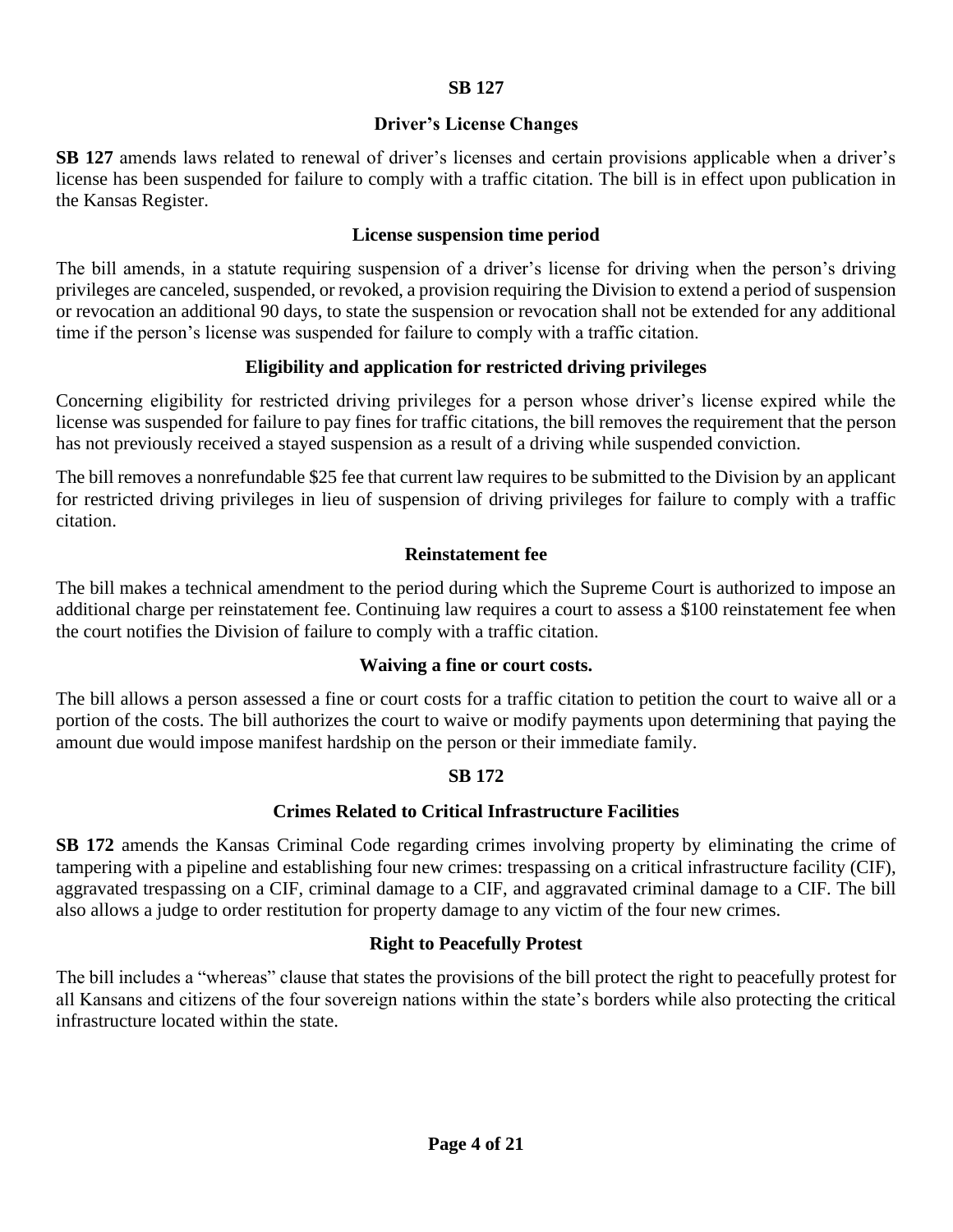#### **SB 127**

### **Driver's License Changes**

**SB 127** amends laws related to renewal of driver's licenses and certain provisions applicable when a driver's license has been suspended for failure to comply with a traffic citation. The bill is in effect upon publication in the Kansas Register.

#### **License suspension time period**

The bill amends, in a statute requiring suspension of a driver's license for driving when the person's driving privileges are canceled, suspended, or revoked, a provision requiring the Division to extend a period of suspension or revocation an additional 90 days, to state the suspension or revocation shall not be extended for any additional time if the person's license was suspended for failure to comply with a traffic citation.

### **Eligibility and application for restricted driving privileges**

Concerning eligibility for restricted driving privileges for a person whose driver's license expired while the license was suspended for failure to pay fines for traffic citations, the bill removes the requirement that the person has not previously received a stayed suspension as a result of a driving while suspended conviction.

The bill removes a nonrefundable \$25 fee that current law requires to be submitted to the Division by an applicant for restricted driving privileges in lieu of suspension of driving privileges for failure to comply with a traffic citation.

#### **Reinstatement fee**

The bill makes a technical amendment to the period during which the Supreme Court is authorized to impose an additional charge per reinstatement fee. Continuing law requires a court to assess a \$100 reinstatement fee when the court notifies the Division of failure to comply with a traffic citation.

#### **Waiving a fine or court costs.**

The bill allows a person assessed a fine or court costs for a traffic citation to petition the court to waive all or a portion of the costs. The bill authorizes the court to waive or modify payments upon determining that paying the amount due would impose manifest hardship on the person or their immediate family.

#### **SB 172**

#### **Crimes Related to Critical Infrastructure Facilities**

**SB 172** amends the Kansas Criminal Code regarding crimes involving property by eliminating the crime of tampering with a pipeline and establishing four new crimes: trespassing on a critical infrastructure facility (CIF), aggravated trespassing on a CIF, criminal damage to a CIF, and aggravated criminal damage to a CIF. The bill also allows a judge to order restitution for property damage to any victim of the four new crimes.

#### **Right to Peacefully Protest**

The bill includes a "whereas" clause that states the provisions of the bill protect the right to peacefully protest for all Kansans and citizens of the four sovereign nations within the state's borders while also protecting the critical infrastructure located within the state.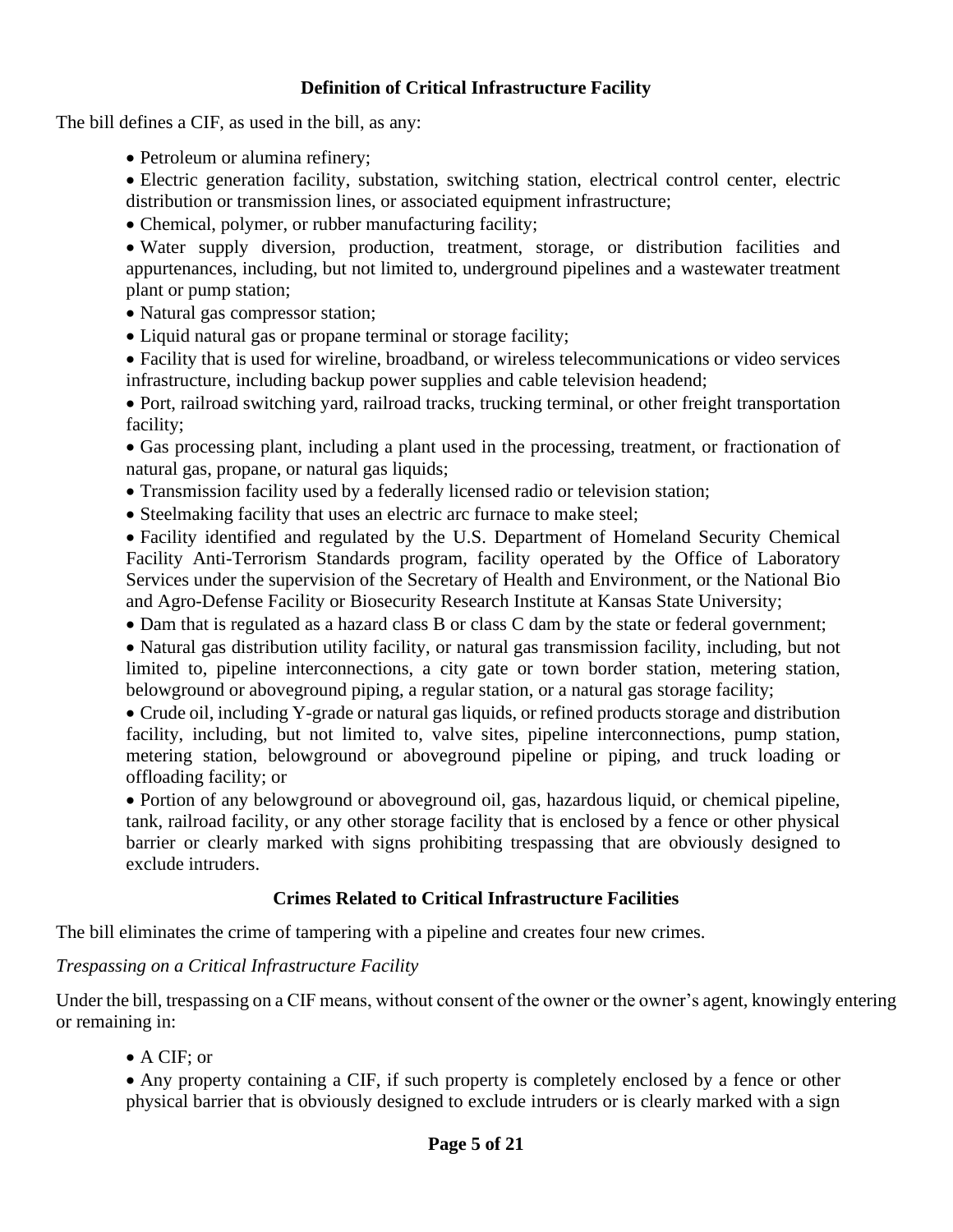#### **Definition of Critical Infrastructure Facility**

The bill defines a CIF, as used in the bill, as any:

- Petroleum or alumina refinery;
- Electric generation facility, substation, switching station, electrical control center, electric distribution or transmission lines, or associated equipment infrastructure;
- Chemical, polymer, or rubber manufacturing facility;

• Water supply diversion, production, treatment, storage, or distribution facilities and appurtenances, including, but not limited to, underground pipelines and a wastewater treatment plant or pump station;

- Natural gas compressor station;
- Liquid natural gas or propane terminal or storage facility;

• Facility that is used for wireline, broadband, or wireless telecommunications or video services infrastructure, including backup power supplies and cable television headend;

• Port, railroad switching yard, railroad tracks, trucking terminal, or other freight transportation facility;

• Gas processing plant, including a plant used in the processing, treatment, or fractionation of natural gas, propane, or natural gas liquids;

- Transmission facility used by a federally licensed radio or television station;
- Steelmaking facility that uses an electric arc furnace to make steel;

• Facility identified and regulated by the U.S. Department of Homeland Security Chemical Facility Anti-Terrorism Standards program, facility operated by the Office of Laboratory Services under the supervision of the Secretary of Health and Environment, or the National Bio and Agro-Defense Facility or Biosecurity Research Institute at Kansas State University;

• Dam that is regulated as a hazard class B or class C dam by the state or federal government;

• Natural gas distribution utility facility, or natural gas transmission facility, including, but not limited to, pipeline interconnections, a city gate or town border station, metering station, belowground or aboveground piping, a regular station, or a natural gas storage facility;

• Crude oil, including Y-grade or natural gas liquids, or refined products storage and distribution facility, including, but not limited to, valve sites, pipeline interconnections, pump station, metering station, belowground or aboveground pipeline or piping, and truck loading or offloading facility; or

• Portion of any belowground or aboveground oil, gas, hazardous liquid, or chemical pipeline, tank, railroad facility, or any other storage facility that is enclosed by a fence or other physical barrier or clearly marked with signs prohibiting trespassing that are obviously designed to exclude intruders.

#### **Crimes Related to Critical Infrastructure Facilities**

The bill eliminates the crime of tampering with a pipeline and creates four new crimes.

#### *Trespassing on a Critical Infrastructure Facility*

Under the bill, trespassing on a CIF means, without consent of the owner or the owner's agent, knowingly entering or remaining in:

• A CIF; or

• Any property containing a CIF, if such property is completely enclosed by a fence or other physical barrier that is obviously designed to exclude intruders or is clearly marked with a sign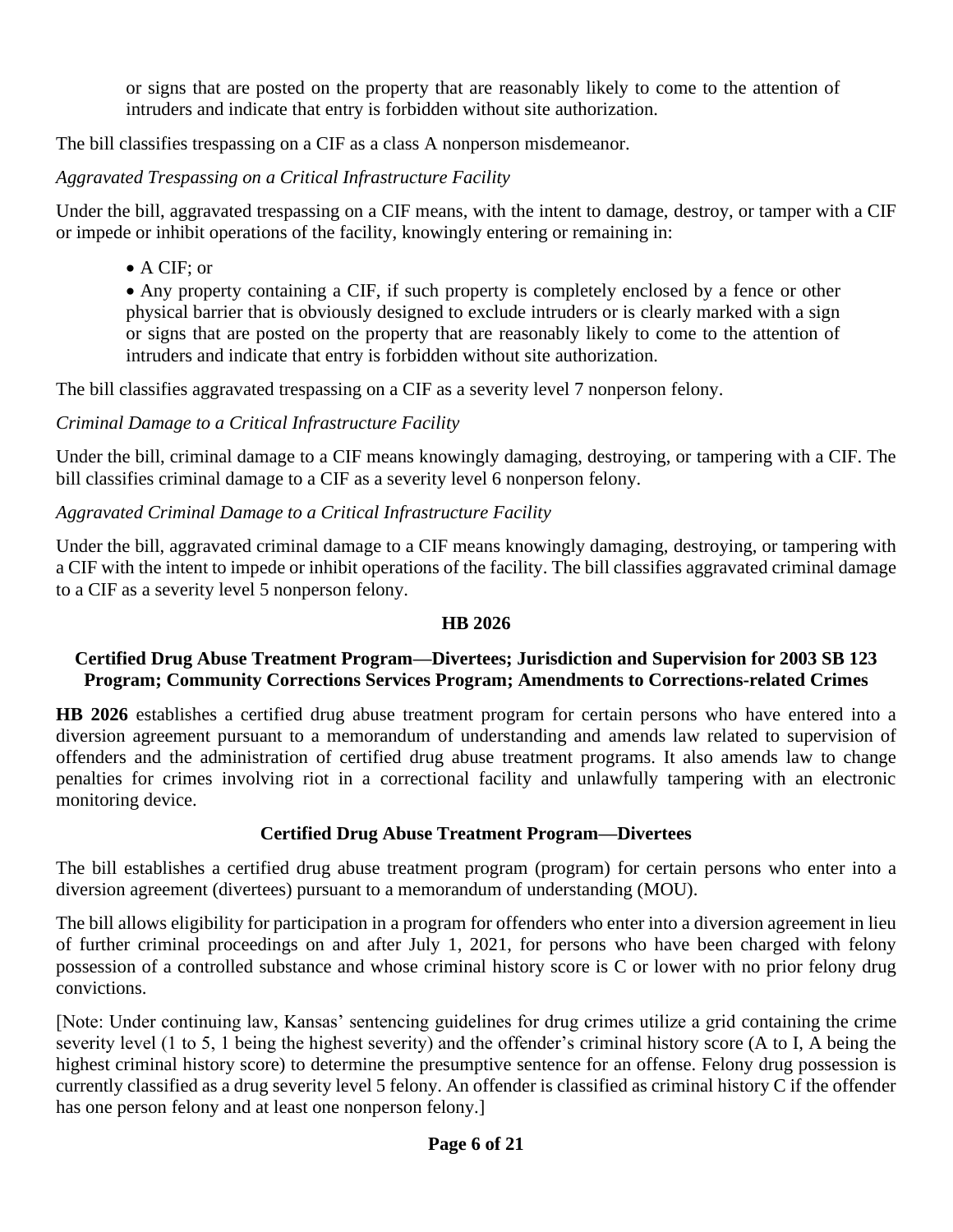or signs that are posted on the property that are reasonably likely to come to the attention of intruders and indicate that entry is forbidden without site authorization.

The bill classifies trespassing on a CIF as a class A nonperson misdemeanor.

*Aggravated Trespassing on a Critical Infrastructure Facility*

Under the bill, aggravated trespassing on a CIF means, with the intent to damage, destroy, or tamper with a CIF or impede or inhibit operations of the facility, knowingly entering or remaining in:

• A CIF; or

• Any property containing a CIF, if such property is completely enclosed by a fence or other physical barrier that is obviously designed to exclude intruders or is clearly marked with a sign or signs that are posted on the property that are reasonably likely to come to the attention of intruders and indicate that entry is forbidden without site authorization.

The bill classifies aggravated trespassing on a CIF as a severity level 7 nonperson felony.

### *Criminal Damage to a Critical Infrastructure Facility*

Under the bill, criminal damage to a CIF means knowingly damaging, destroying, or tampering with a CIF. The bill classifies criminal damage to a CIF as a severity level 6 nonperson felony.

### *Aggravated Criminal Damage to a Critical Infrastructure Facility*

Under the bill, aggravated criminal damage to a CIF means knowingly damaging, destroying, or tampering with a CIF with the intent to impede or inhibit operations of the facility. The bill classifies aggravated criminal damage to a CIF as a severity level 5 nonperson felony.

#### **HB 2026**

#### **Certified Drug Abuse Treatment Program—Divertees; Jurisdiction and Supervision for 2003 SB 123 Program; Community Corrections Services Program; Amendments to Corrections-related Crimes**

**HB 2026** establishes a certified drug abuse treatment program for certain persons who have entered into a diversion agreement pursuant to a memorandum of understanding and amends law related to supervision of offenders and the administration of certified drug abuse treatment programs. It also amends law to change penalties for crimes involving riot in a correctional facility and unlawfully tampering with an electronic monitoring device.

### **Certified Drug Abuse Treatment Program—Divertees**

The bill establishes a certified drug abuse treatment program (program) for certain persons who enter into a diversion agreement (divertees) pursuant to a memorandum of understanding (MOU).

The bill allows eligibility for participation in a program for offenders who enter into a diversion agreement in lieu of further criminal proceedings on and after July 1, 2021, for persons who have been charged with felony possession of a controlled substance and whose criminal history score is C or lower with no prior felony drug convictions.

[Note: Under continuing law, Kansas' sentencing guidelines for drug crimes utilize a grid containing the crime severity level (1 to 5, 1 being the highest severity) and the offender's criminal history score (A to I, A being the highest criminal history score) to determine the presumptive sentence for an offense. Felony drug possession is currently classified as a drug severity level 5 felony. An offender is classified as criminal history C if the offender has one person felony and at least one nonperson felony.]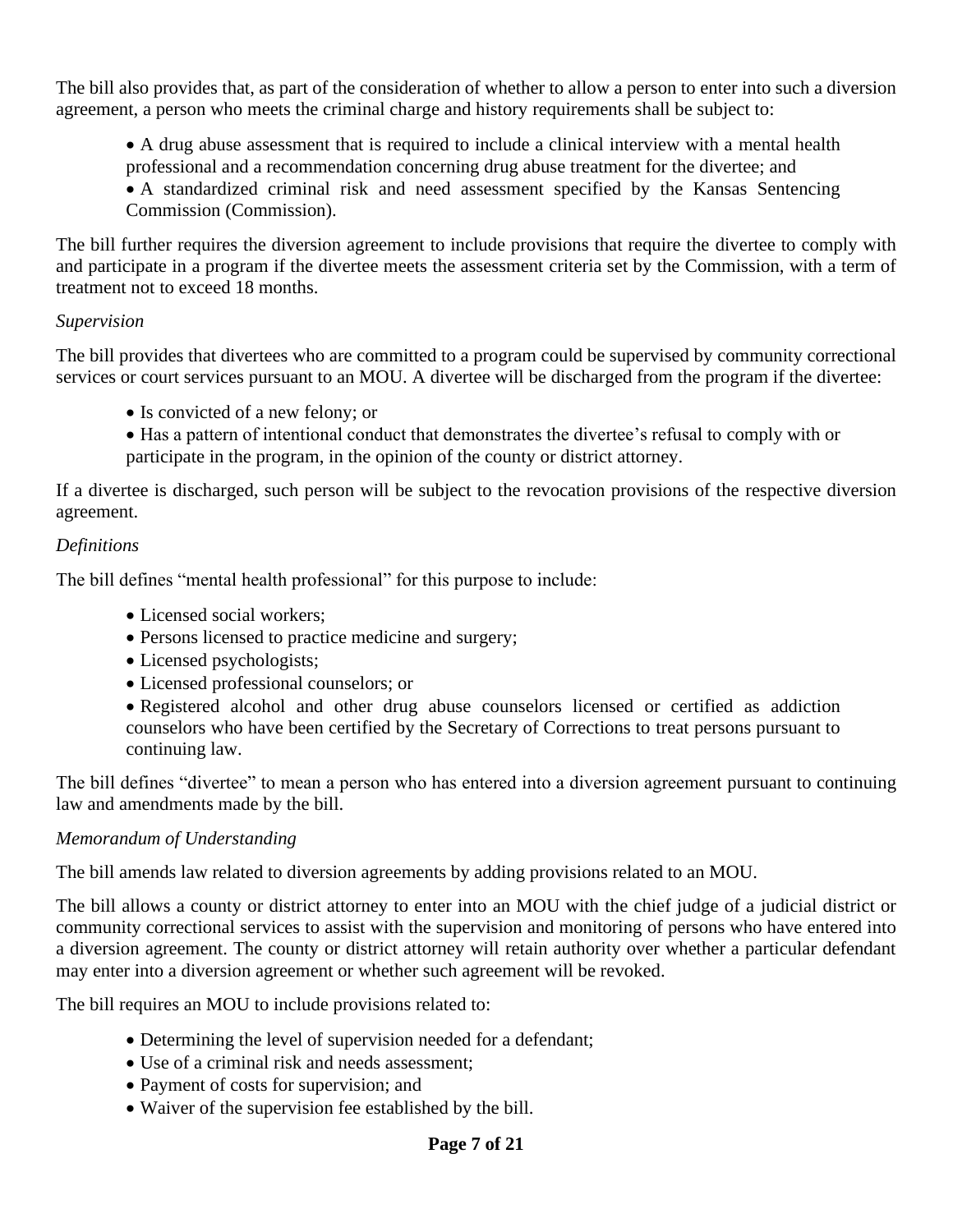The bill also provides that, as part of the consideration of whether to allow a person to enter into such a diversion agreement, a person who meets the criminal charge and history requirements shall be subject to:

• A drug abuse assessment that is required to include a clinical interview with a mental health professional and a recommendation concerning drug abuse treatment for the divertee; and

• A standardized criminal risk and need assessment specified by the Kansas Sentencing Commission (Commission).

The bill further requires the diversion agreement to include provisions that require the divertee to comply with and participate in a program if the divertee meets the assessment criteria set by the Commission, with a term of treatment not to exceed 18 months.

#### *Supervision*

The bill provides that divertees who are committed to a program could be supervised by community correctional services or court services pursuant to an MOU. A divertee will be discharged from the program if the divertee:

- Is convicted of a new felony; or
- Has a pattern of intentional conduct that demonstrates the divertee's refusal to comply with or participate in the program, in the opinion of the county or district attorney.

If a divertee is discharged, such person will be subject to the revocation provisions of the respective diversion agreement.

### *Definitions*

The bill defines "mental health professional" for this purpose to include:

- Licensed social workers;
- Persons licensed to practice medicine and surgery;
- Licensed psychologists;
- Licensed professional counselors; or
- Registered alcohol and other drug abuse counselors licensed or certified as addiction counselors who have been certified by the Secretary of Corrections to treat persons pursuant to continuing law.

The bill defines "divertee" to mean a person who has entered into a diversion agreement pursuant to continuing law and amendments made by the bill.

### *Memorandum of Understanding*

The bill amends law related to diversion agreements by adding provisions related to an MOU.

The bill allows a county or district attorney to enter into an MOU with the chief judge of a judicial district or community correctional services to assist with the supervision and monitoring of persons who have entered into a diversion agreement. The county or district attorney will retain authority over whether a particular defendant may enter into a diversion agreement or whether such agreement will be revoked.

The bill requires an MOU to include provisions related to:

- Determining the level of supervision needed for a defendant;
- Use of a criminal risk and needs assessment;
- Payment of costs for supervision; and
- Waiver of the supervision fee established by the bill.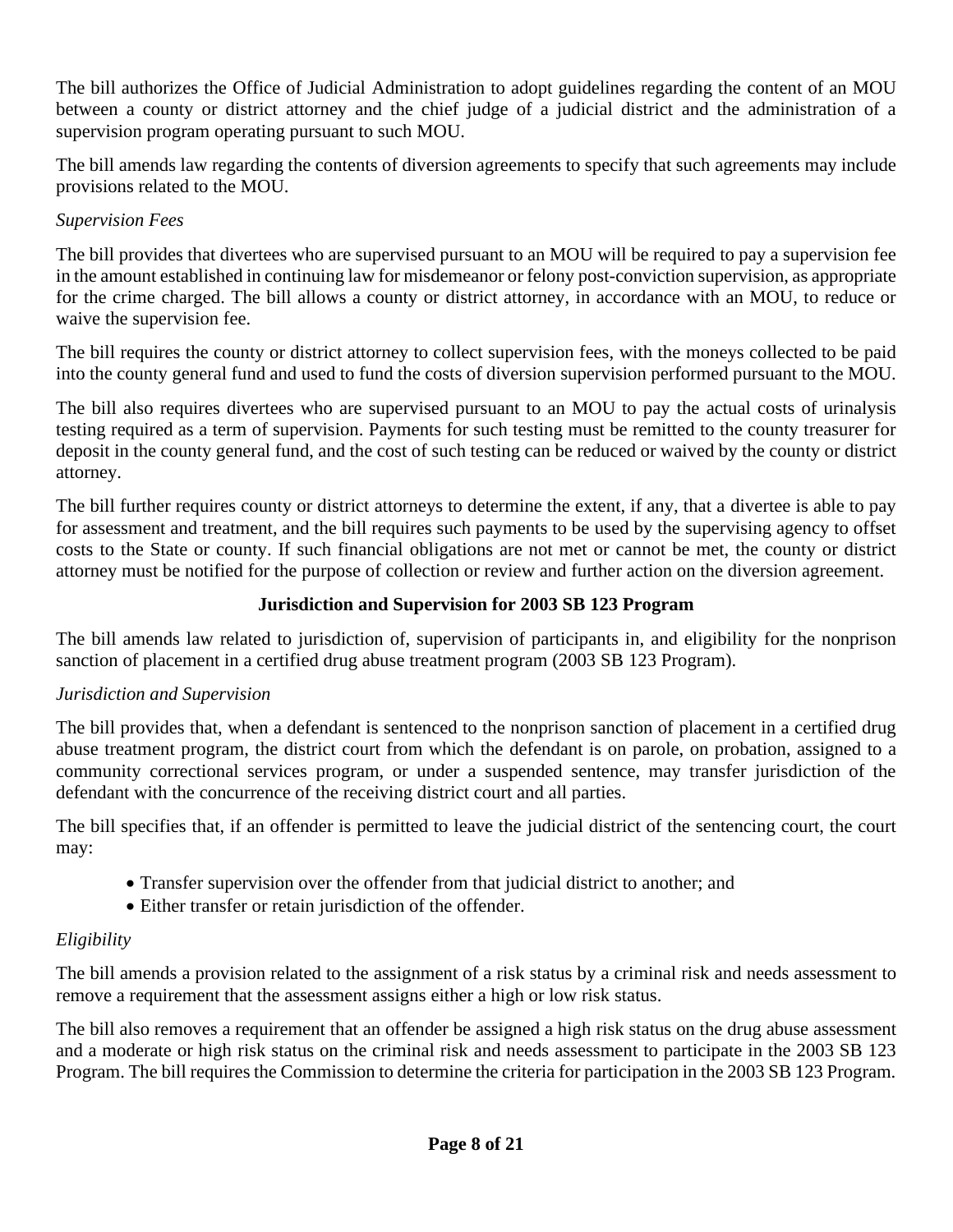The bill authorizes the Office of Judicial Administration to adopt guidelines regarding the content of an MOU between a county or district attorney and the chief judge of a judicial district and the administration of a supervision program operating pursuant to such MOU.

The bill amends law regarding the contents of diversion agreements to specify that such agreements may include provisions related to the MOU.

## *Supervision Fees*

The bill provides that divertees who are supervised pursuant to an MOU will be required to pay a supervision fee in the amount established in continuing law for misdemeanor or felony post-conviction supervision, as appropriate for the crime charged. The bill allows a county or district attorney, in accordance with an MOU, to reduce or waive the supervision fee.

The bill requires the county or district attorney to collect supervision fees, with the moneys collected to be paid into the county general fund and used to fund the costs of diversion supervision performed pursuant to the MOU.

The bill also requires divertees who are supervised pursuant to an MOU to pay the actual costs of urinalysis testing required as a term of supervision. Payments for such testing must be remitted to the county treasurer for deposit in the county general fund, and the cost of such testing can be reduced or waived by the county or district attorney.

The bill further requires county or district attorneys to determine the extent, if any, that a divertee is able to pay for assessment and treatment, and the bill requires such payments to be used by the supervising agency to offset costs to the State or county. If such financial obligations are not met or cannot be met, the county or district attorney must be notified for the purpose of collection or review and further action on the diversion agreement.

## **Jurisdiction and Supervision for 2003 SB 123 Program**

The bill amends law related to jurisdiction of, supervision of participants in, and eligibility for the nonprison sanction of placement in a certified drug abuse treatment program (2003 SB 123 Program).

### *Jurisdiction and Supervision*

The bill provides that, when a defendant is sentenced to the nonprison sanction of placement in a certified drug abuse treatment program, the district court from which the defendant is on parole, on probation, assigned to a community correctional services program, or under a suspended sentence, may transfer jurisdiction of the defendant with the concurrence of the receiving district court and all parties.

The bill specifies that, if an offender is permitted to leave the judicial district of the sentencing court, the court may:

- Transfer supervision over the offender from that judicial district to another; and
- Either transfer or retain jurisdiction of the offender.

# *Eligibility*

The bill amends a provision related to the assignment of a risk status by a criminal risk and needs assessment to remove a requirement that the assessment assigns either a high or low risk status.

The bill also removes a requirement that an offender be assigned a high risk status on the drug abuse assessment and a moderate or high risk status on the criminal risk and needs assessment to participate in the 2003 SB 123 Program. The bill requires the Commission to determine the criteria for participation in the 2003 SB 123 Program.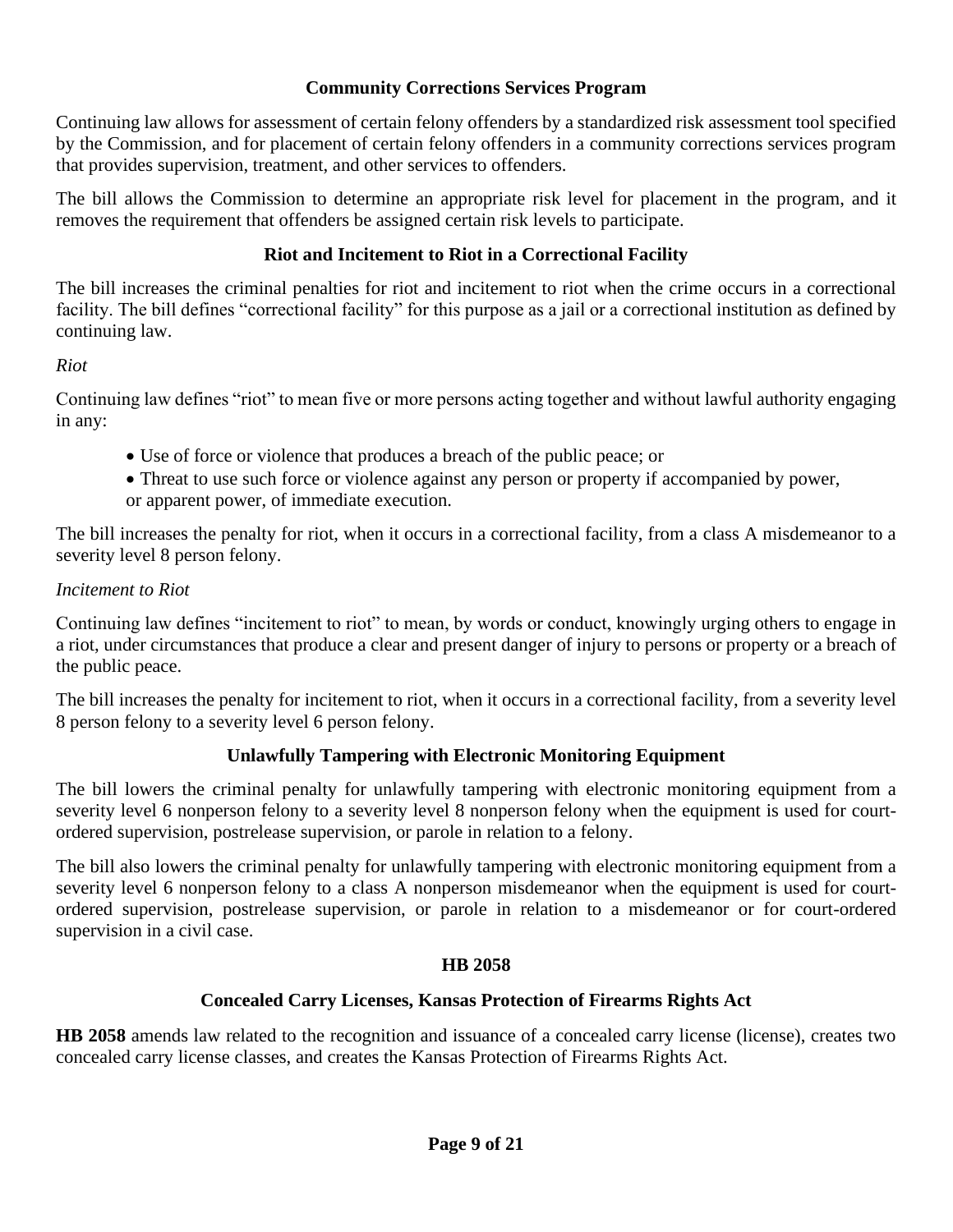#### **Community Corrections Services Program**

Continuing law allows for assessment of certain felony offenders by a standardized risk assessment tool specified by the Commission, and for placement of certain felony offenders in a community corrections services program that provides supervision, treatment, and other services to offenders.

The bill allows the Commission to determine an appropriate risk level for placement in the program, and it removes the requirement that offenders be assigned certain risk levels to participate.

#### **Riot and Incitement to Riot in a Correctional Facility**

The bill increases the criminal penalties for riot and incitement to riot when the crime occurs in a correctional facility. The bill defines "correctional facility" for this purpose as a jail or a correctional institution as defined by continuing law.

#### *Riot*

Continuing law defines "riot" to mean five or more persons acting together and without lawful authority engaging in any:

- Use of force or violence that produces a breach of the public peace; or
- Threat to use such force or violence against any person or property if accompanied by power, or apparent power, of immediate execution.

The bill increases the penalty for riot, when it occurs in a correctional facility, from a class A misdemeanor to a severity level 8 person felony.

#### *Incitement to Riot*

Continuing law defines "incitement to riot" to mean, by words or conduct, knowingly urging others to engage in a riot, under circumstances that produce a clear and present danger of injury to persons or property or a breach of the public peace.

The bill increases the penalty for incitement to riot, when it occurs in a correctional facility, from a severity level 8 person felony to a severity level 6 person felony.

#### **Unlawfully Tampering with Electronic Monitoring Equipment**

The bill lowers the criminal penalty for unlawfully tampering with electronic monitoring equipment from a severity level 6 nonperson felony to a severity level 8 nonperson felony when the equipment is used for courtordered supervision, postrelease supervision, or parole in relation to a felony.

The bill also lowers the criminal penalty for unlawfully tampering with electronic monitoring equipment from a severity level 6 nonperson felony to a class A nonperson misdemeanor when the equipment is used for courtordered supervision, postrelease supervision, or parole in relation to a misdemeanor or for court-ordered supervision in a civil case.

#### **HB 2058**

#### **Concealed Carry Licenses, Kansas Protection of Firearms Rights Act**

**HB 2058** amends law related to the recognition and issuance of a concealed carry license (license), creates two concealed carry license classes, and creates the Kansas Protection of Firearms Rights Act.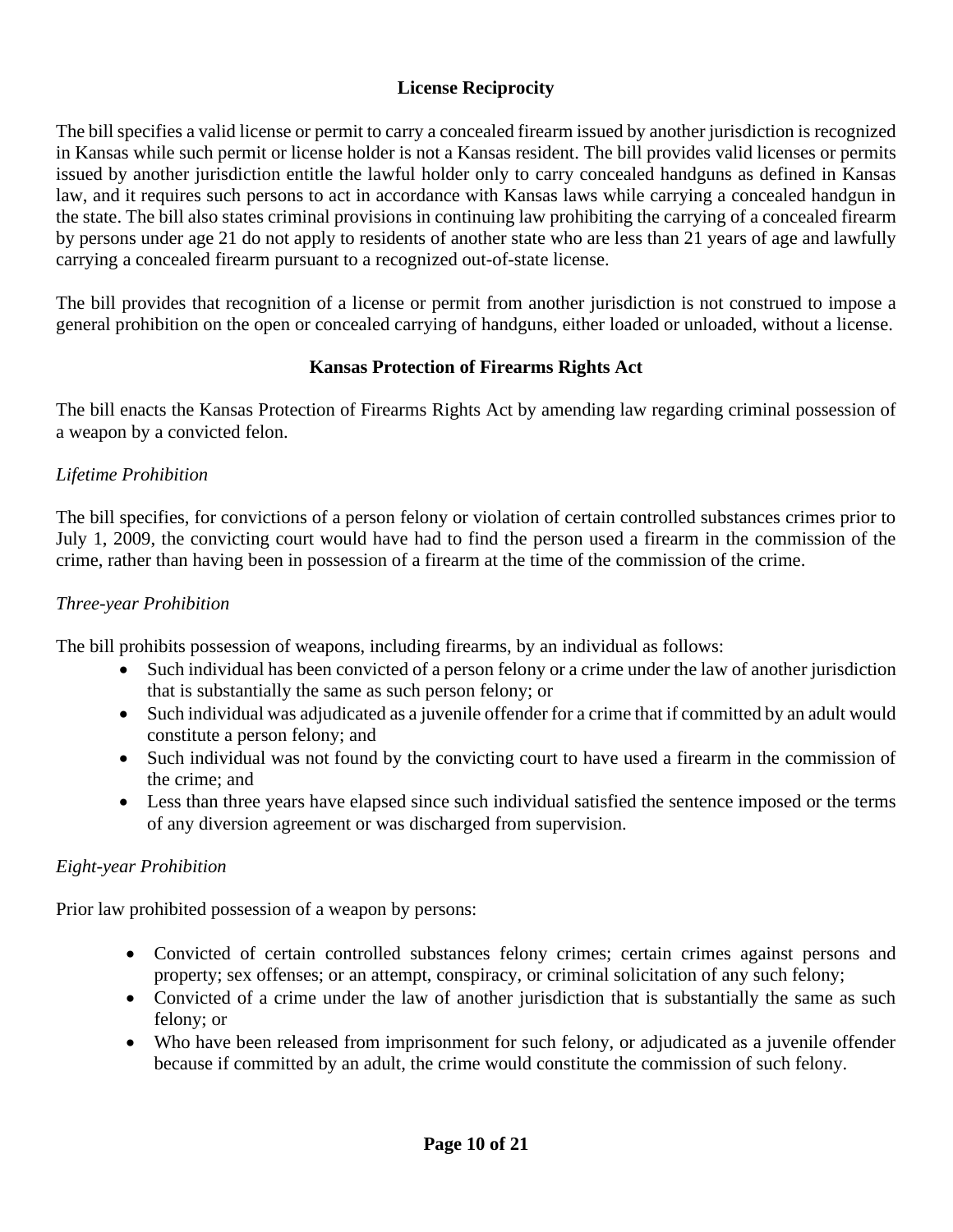### **License Reciprocity**

The bill specifies a valid license or permit to carry a concealed firearm issued by another jurisdiction is recognized in Kansas while such permit or license holder is not a Kansas resident. The bill provides valid licenses or permits issued by another jurisdiction entitle the lawful holder only to carry concealed handguns as defined in Kansas law, and it requires such persons to act in accordance with Kansas laws while carrying a concealed handgun in the state. The bill also states criminal provisions in continuing law prohibiting the carrying of a concealed firearm by persons under age 21 do not apply to residents of another state who are less than 21 years of age and lawfully carrying a concealed firearm pursuant to a recognized out-of-state license.

The bill provides that recognition of a license or permit from another jurisdiction is not construed to impose a general prohibition on the open or concealed carrying of handguns, either loaded or unloaded, without a license.

#### **Kansas Protection of Firearms Rights Act**

The bill enacts the Kansas Protection of Firearms Rights Act by amending law regarding criminal possession of a weapon by a convicted felon.

### *Lifetime Prohibition*

The bill specifies, for convictions of a person felony or violation of certain controlled substances crimes prior to July 1, 2009, the convicting court would have had to find the person used a firearm in the commission of the crime, rather than having been in possession of a firearm at the time of the commission of the crime.

### *Three-year Prohibition*

The bill prohibits possession of weapons, including firearms, by an individual as follows:

- Such individual has been convicted of a person felony or a crime under the law of another jurisdiction that is substantially the same as such person felony; or
- Such individual was adjudicated as a juvenile offender for a crime that if committed by an adult would constitute a person felony; and
- Such individual was not found by the convicting court to have used a firearm in the commission of the crime; and
- Less than three years have elapsed since such individual satisfied the sentence imposed or the terms of any diversion agreement or was discharged from supervision.

### *Eight-year Prohibition*

Prior law prohibited possession of a weapon by persons:

- Convicted of certain controlled substances felony crimes; certain crimes against persons and property; sex offenses; or an attempt, conspiracy, or criminal solicitation of any such felony;
- Convicted of a crime under the law of another jurisdiction that is substantially the same as such felony; or
- Who have been released from imprisonment for such felony, or adjudicated as a juvenile offender because if committed by an adult, the crime would constitute the commission of such felony.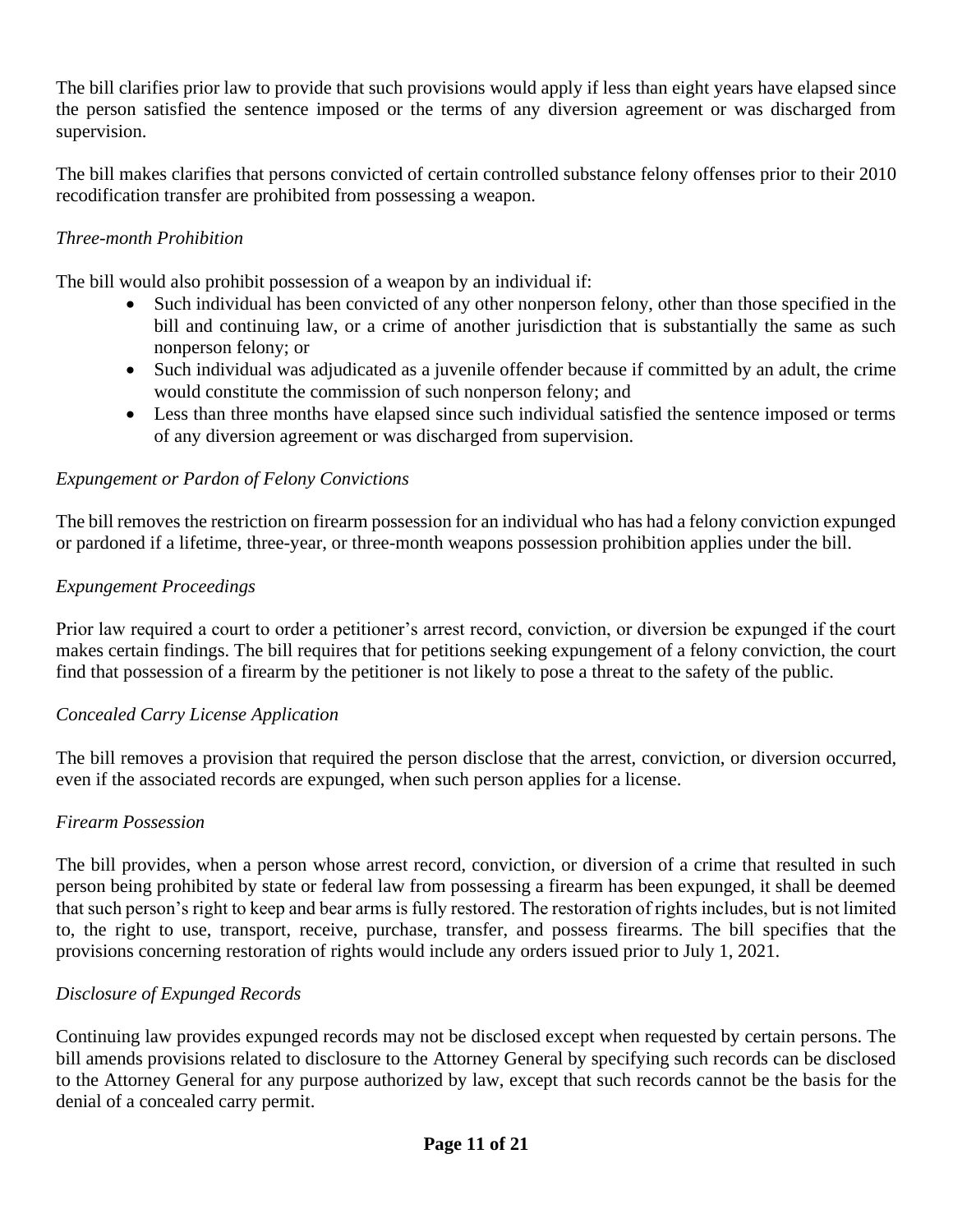The bill clarifies prior law to provide that such provisions would apply if less than eight years have elapsed since the person satisfied the sentence imposed or the terms of any diversion agreement or was discharged from supervision.

The bill makes clarifies that persons convicted of certain controlled substance felony offenses prior to their 2010 recodification transfer are prohibited from possessing a weapon.

### *Three-month Prohibition*

The bill would also prohibit possession of a weapon by an individual if:

- Such individual has been convicted of any other nonperson felony, other than those specified in the bill and continuing law, or a crime of another jurisdiction that is substantially the same as such nonperson felony; or
- Such individual was adjudicated as a juvenile offender because if committed by an adult, the crime would constitute the commission of such nonperson felony; and
- Less than three months have elapsed since such individual satisfied the sentence imposed or terms of any diversion agreement or was discharged from supervision.

### *Expungement or Pardon of Felony Convictions*

The bill removes the restriction on firearm possession for an individual who has had a felony conviction expunged or pardoned if a lifetime, three-year, or three-month weapons possession prohibition applies under the bill.

### *Expungement Proceedings*

Prior law required a court to order a petitioner's arrest record, conviction, or diversion be expunged if the court makes certain findings. The bill requires that for petitions seeking expungement of a felony conviction, the court find that possession of a firearm by the petitioner is not likely to pose a threat to the safety of the public.

### *Concealed Carry License Application*

The bill removes a provision that required the person disclose that the arrest, conviction, or diversion occurred, even if the associated records are expunged, when such person applies for a license.

#### *Firearm Possession*

The bill provides, when a person whose arrest record, conviction, or diversion of a crime that resulted in such person being prohibited by state or federal law from possessing a firearm has been expunged, it shall be deemed that such person's right to keep and bear arms is fully restored. The restoration of rights includes, but is not limited to, the right to use, transport, receive, purchase, transfer, and possess firearms. The bill specifies that the provisions concerning restoration of rights would include any orders issued prior to July 1, 2021.

### *Disclosure of Expunged Records*

Continuing law provides expunged records may not be disclosed except when requested by certain persons. The bill amends provisions related to disclosure to the Attorney General by specifying such records can be disclosed to the Attorney General for any purpose authorized by law, except that such records cannot be the basis for the denial of a concealed carry permit.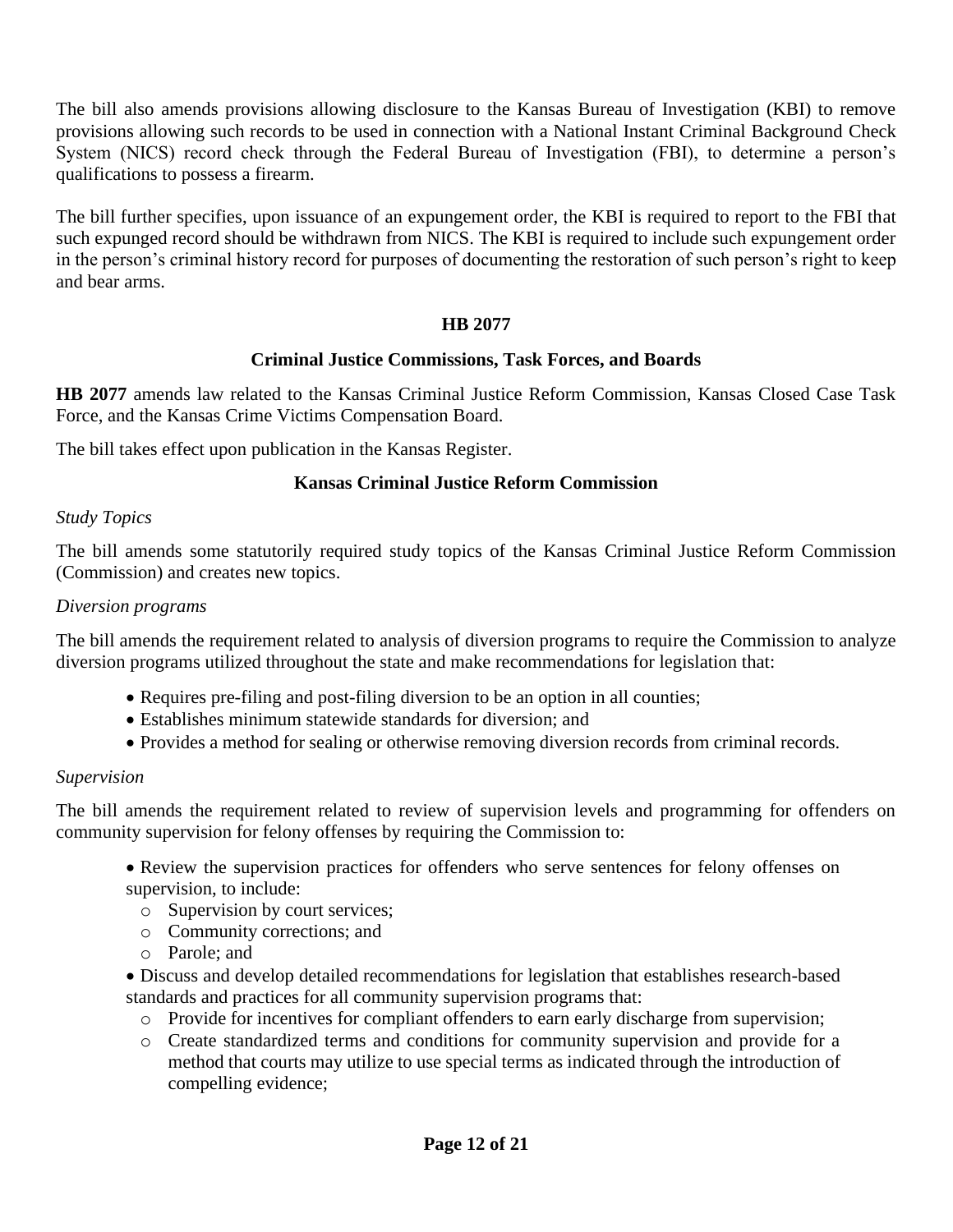The bill also amends provisions allowing disclosure to the Kansas Bureau of Investigation (KBI) to remove provisions allowing such records to be used in connection with a National Instant Criminal Background Check System (NICS) record check through the Federal Bureau of Investigation (FBI), to determine a person's qualifications to possess a firearm.

The bill further specifies, upon issuance of an expungement order, the KBI is required to report to the FBI that such expunged record should be withdrawn from NICS. The KBI is required to include such expungement order in the person's criminal history record for purposes of documenting the restoration of such person's right to keep and bear arms.

### **HB 2077**

#### **Criminal Justice Commissions, Task Forces, and Boards**

**HB 2077** amends law related to the Kansas Criminal Justice Reform Commission, Kansas Closed Case Task Force, and the Kansas Crime Victims Compensation Board.

The bill takes effect upon publication in the Kansas Register.

### **Kansas Criminal Justice Reform Commission**

#### *Study Topics*

The bill amends some statutorily required study topics of the Kansas Criminal Justice Reform Commission (Commission) and creates new topics.

#### *Diversion programs*

The bill amends the requirement related to analysis of diversion programs to require the Commission to analyze diversion programs utilized throughout the state and make recommendations for legislation that:

- Requires pre-filing and post-filing diversion to be an option in all counties;
- Establishes minimum statewide standards for diversion; and
- Provides a method for sealing or otherwise removing diversion records from criminal records.

#### *Supervision*

The bill amends the requirement related to review of supervision levels and programming for offenders on community supervision for felony offenses by requiring the Commission to:

- Review the supervision practices for offenders who serve sentences for felony offenses on supervision, to include:
	- o Supervision by court services;
	- o Community corrections; and
	- o Parole; and

• Discuss and develop detailed recommendations for legislation that establishes research-based standards and practices for all community supervision programs that:

- o Provide for incentives for compliant offenders to earn early discharge from supervision;
- o Create standardized terms and conditions for community supervision and provide for a method that courts may utilize to use special terms as indicated through the introduction of compelling evidence;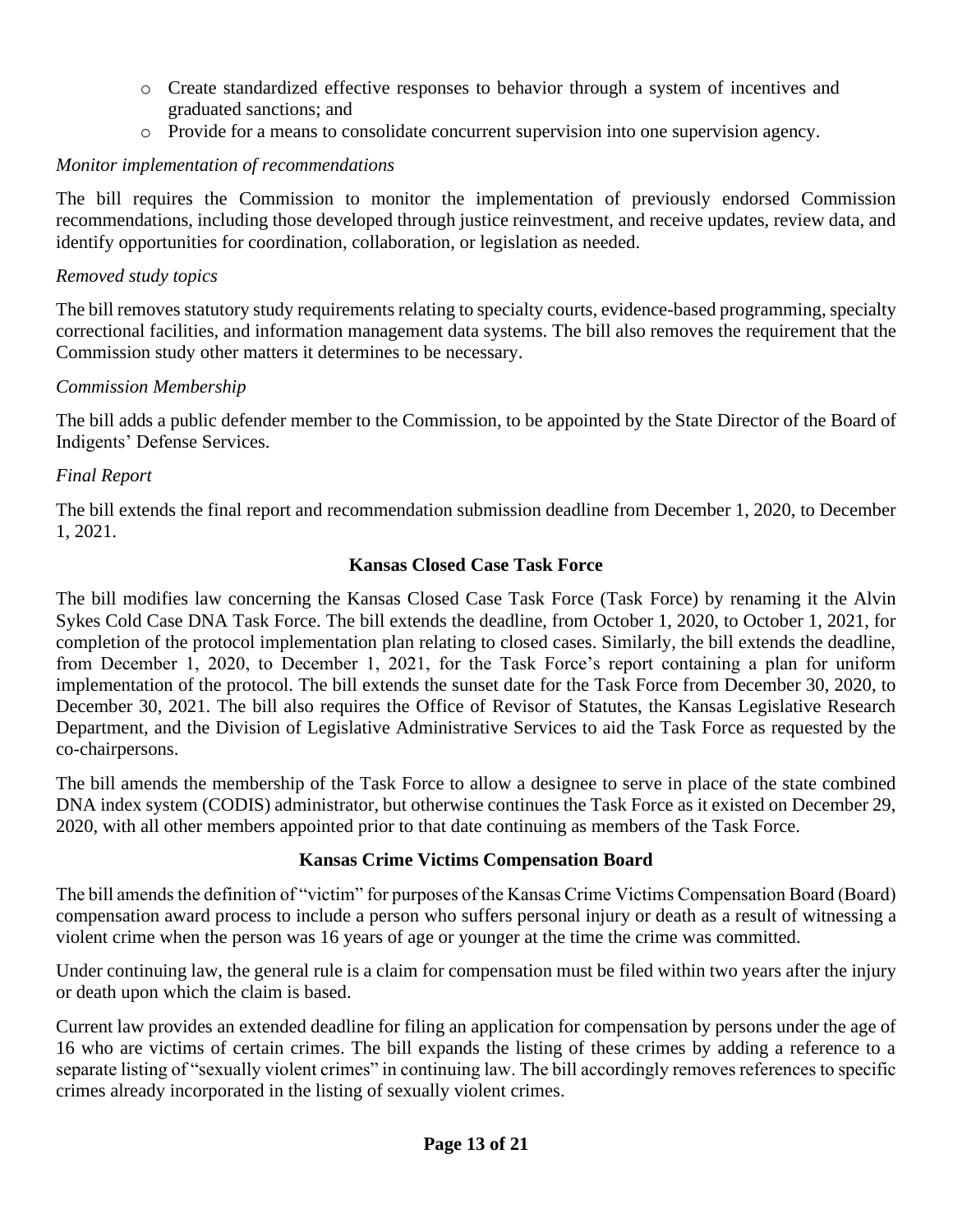- o Create standardized effective responses to behavior through a system of incentives and graduated sanctions; and
- o Provide for a means to consolidate concurrent supervision into one supervision agency.

# *Monitor implementation of recommendations*

The bill requires the Commission to monitor the implementation of previously endorsed Commission recommendations, including those developed through justice reinvestment, and receive updates, review data, and identify opportunities for coordination, collaboration, or legislation as needed.

# *Removed study topics*

The bill removes statutory study requirements relating to specialty courts, evidence-based programming, specialty correctional facilities, and information management data systems. The bill also removes the requirement that the Commission study other matters it determines to be necessary.

# *Commission Membership*

The bill adds a public defender member to the Commission, to be appointed by the State Director of the Board of Indigents' Defense Services.

# *Final Report*

The bill extends the final report and recommendation submission deadline from December 1, 2020, to December 1, 2021.

# **Kansas Closed Case Task Force**

The bill modifies law concerning the Kansas Closed Case Task Force (Task Force) by renaming it the Alvin Sykes Cold Case DNA Task Force. The bill extends the deadline, from October 1, 2020, to October 1, 2021, for completion of the protocol implementation plan relating to closed cases. Similarly, the bill extends the deadline, from December 1, 2020, to December 1, 2021, for the Task Force's report containing a plan for uniform implementation of the protocol. The bill extends the sunset date for the Task Force from December 30, 2020, to December 30, 2021. The bill also requires the Office of Revisor of Statutes, the Kansas Legislative Research Department, and the Division of Legislative Administrative Services to aid the Task Force as requested by the co-chairpersons.

The bill amends the membership of the Task Force to allow a designee to serve in place of the state combined DNA index system (CODIS) administrator, but otherwise continues the Task Force as it existed on December 29, 2020, with all other members appointed prior to that date continuing as members of the Task Force.

### **Kansas Crime Victims Compensation Board**

The bill amends the definition of "victim" for purposes of the Kansas Crime Victims Compensation Board (Board) compensation award process to include a person who suffers personal injury or death as a result of witnessing a violent crime when the person was 16 years of age or younger at the time the crime was committed.

Under continuing law, the general rule is a claim for compensation must be filed within two years after the injury or death upon which the claim is based.

Current law provides an extended deadline for filing an application for compensation by persons under the age of 16 who are victims of certain crimes. The bill expands the listing of these crimes by adding a reference to a separate listing of "sexually violent crimes" in continuing law. The bill accordingly removes references to specific crimes already incorporated in the listing of sexually violent crimes.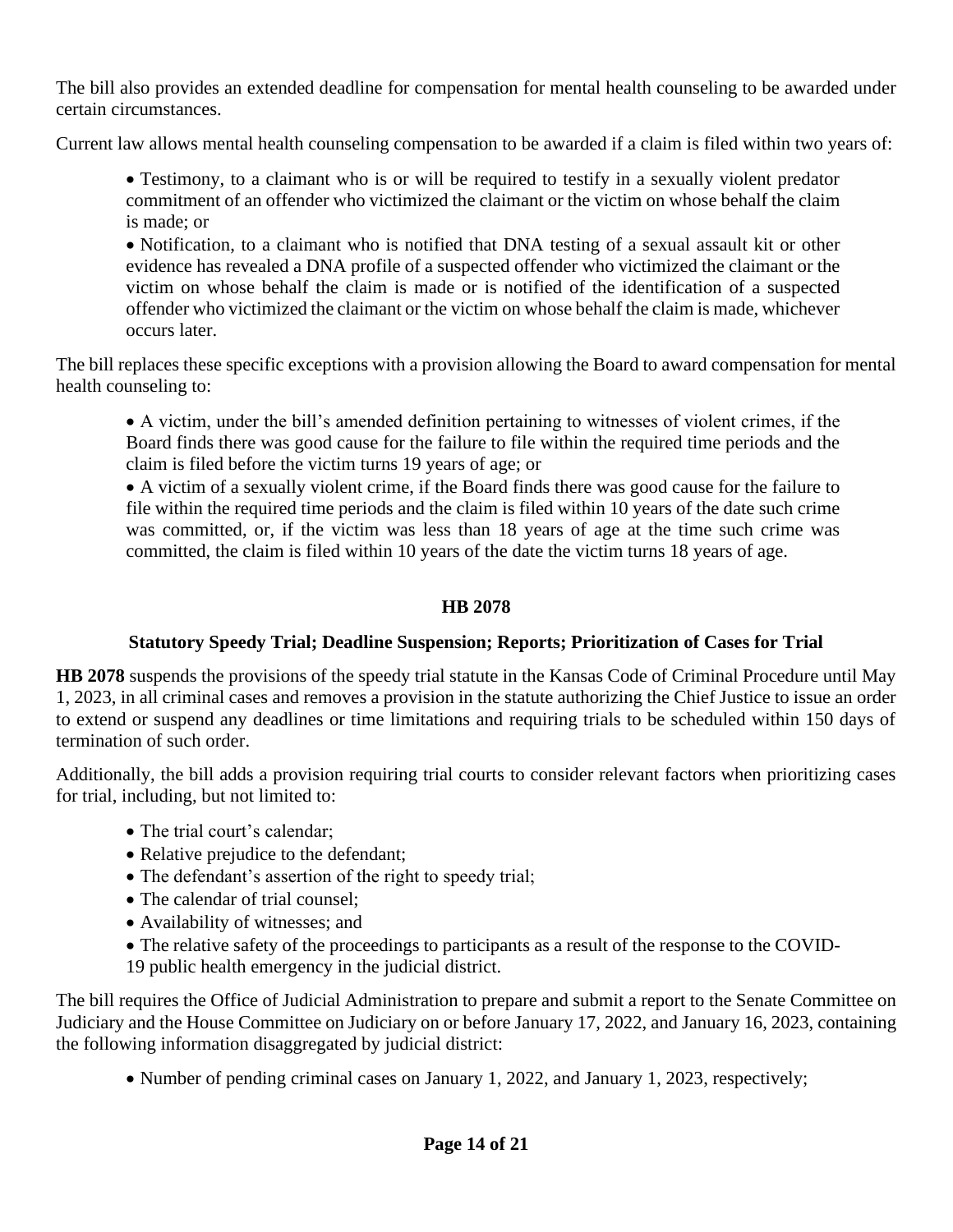The bill also provides an extended deadline for compensation for mental health counseling to be awarded under certain circumstances.

Current law allows mental health counseling compensation to be awarded if a claim is filed within two years of:

• Testimony, to a claimant who is or will be required to testify in a sexually violent predator commitment of an offender who victimized the claimant or the victim on whose behalf the claim is made; or

• Notification, to a claimant who is notified that DNA testing of a sexual assault kit or other evidence has revealed a DNA profile of a suspected offender who victimized the claimant or the victim on whose behalf the claim is made or is notified of the identification of a suspected offender who victimized the claimant or the victim on whose behalf the claim is made, whichever occurs later.

The bill replaces these specific exceptions with a provision allowing the Board to award compensation for mental health counseling to:

• A victim, under the bill's amended definition pertaining to witnesses of violent crimes, if the Board finds there was good cause for the failure to file within the required time periods and the claim is filed before the victim turns 19 years of age; or

• A victim of a sexually violent crime, if the Board finds there was good cause for the failure to file within the required time periods and the claim is filed within 10 years of the date such crime was committed, or, if the victim was less than 18 years of age at the time such crime was committed, the claim is filed within 10 years of the date the victim turns 18 years of age.

### **HB 2078**

### **Statutory Speedy Trial; Deadline Suspension; Reports; Prioritization of Cases for Trial**

**HB 2078** suspends the provisions of the speedy trial statute in the Kansas Code of Criminal Procedure until May 1, 2023, in all criminal cases and removes a provision in the statute authorizing the Chief Justice to issue an order to extend or suspend any deadlines or time limitations and requiring trials to be scheduled within 150 days of termination of such order.

Additionally, the bill adds a provision requiring trial courts to consider relevant factors when prioritizing cases for trial, including, but not limited to:

- The trial court's calendar;
- Relative prejudice to the defendant;
- The defendant's assertion of the right to speedy trial;
- The calendar of trial counsel;
- Availability of witnesses; and
- The relative safety of the proceedings to participants as a result of the response to the COVID-

19 public health emergency in the judicial district.

The bill requires the Office of Judicial Administration to prepare and submit a report to the Senate Committee on Judiciary and the House Committee on Judiciary on or before January 17, 2022, and January 16, 2023, containing the following information disaggregated by judicial district:

• Number of pending criminal cases on January 1, 2022, and January 1, 2023, respectively;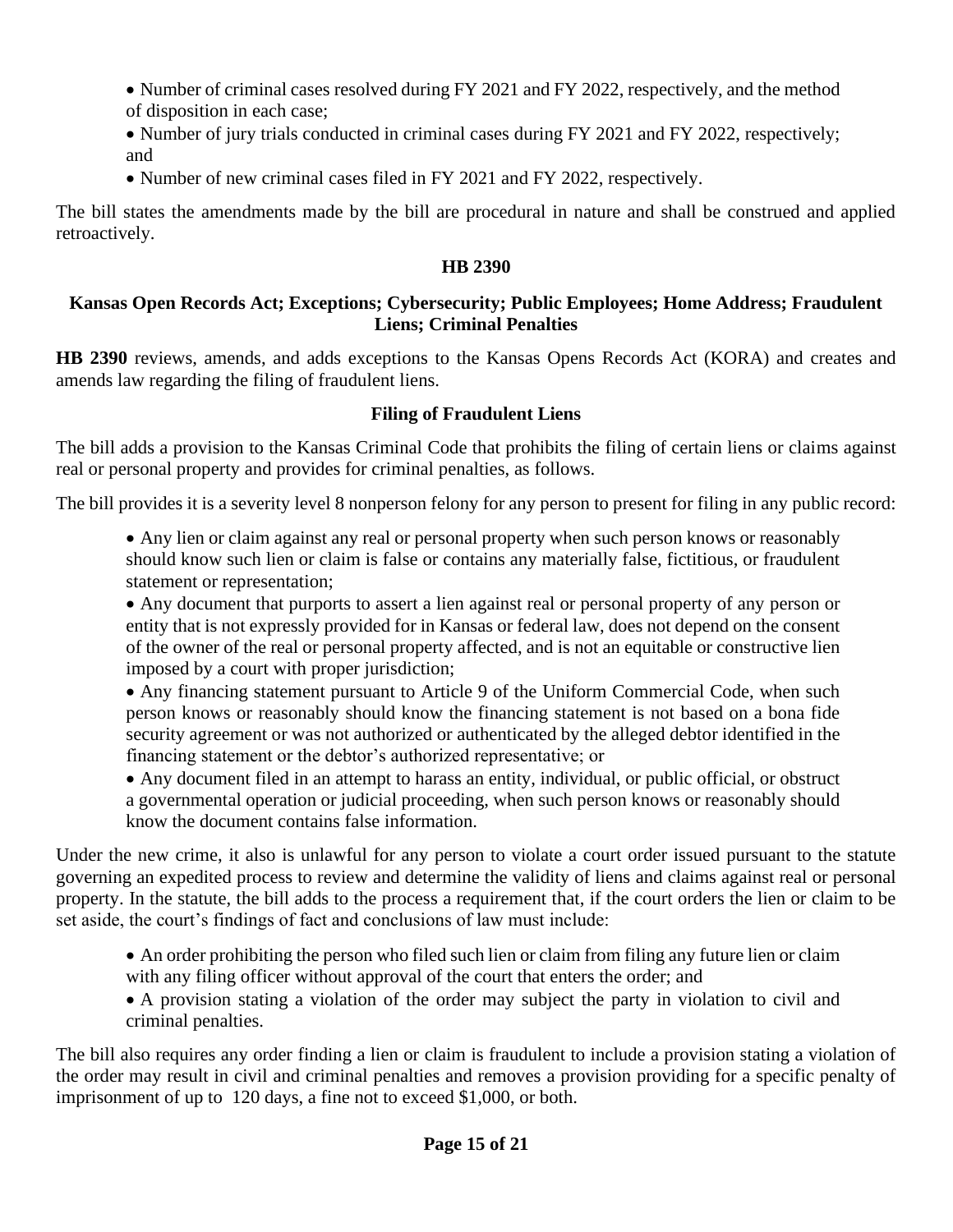- Number of criminal cases resolved during FY 2021 and FY 2022, respectively, and the method of disposition in each case;
- Number of jury trials conducted in criminal cases during FY 2021 and FY 2022, respectively; and
- Number of new criminal cases filed in FY 2021 and FY 2022, respectively.

The bill states the amendments made by the bill are procedural in nature and shall be construed and applied retroactively.

### **HB 2390**

### **Kansas Open Records Act; Exceptions; Cybersecurity; Public Employees; Home Address; Fraudulent Liens; Criminal Penalties**

**HB 2390** reviews, amends, and adds exceptions to the Kansas Opens Records Act (KORA) and creates and amends law regarding the filing of fraudulent liens.

# **Filing of Fraudulent Liens**

The bill adds a provision to the Kansas Criminal Code that prohibits the filing of certain liens or claims against real or personal property and provides for criminal penalties, as follows.

The bill provides it is a severity level 8 nonperson felony for any person to present for filing in any public record:

• Any lien or claim against any real or personal property when such person knows or reasonably should know such lien or claim is false or contains any materially false, fictitious, or fraudulent statement or representation;

• Any document that purports to assert a lien against real or personal property of any person or entity that is not expressly provided for in Kansas or federal law, does not depend on the consent of the owner of the real or personal property affected, and is not an equitable or constructive lien imposed by a court with proper jurisdiction;

• Any financing statement pursuant to Article 9 of the Uniform Commercial Code, when such person knows or reasonably should know the financing statement is not based on a bona fide security agreement or was not authorized or authenticated by the alleged debtor identified in the financing statement or the debtor's authorized representative; or

• Any document filed in an attempt to harass an entity, individual, or public official, or obstruct a governmental operation or judicial proceeding, when such person knows or reasonably should know the document contains false information.

Under the new crime, it also is unlawful for any person to violate a court order issued pursuant to the statute governing an expedited process to review and determine the validity of liens and claims against real or personal property. In the statute, the bill adds to the process a requirement that, if the court orders the lien or claim to be set aside, the court's findings of fact and conclusions of law must include:

- An order prohibiting the person who filed such lien or claim from filing any future lien or claim with any filing officer without approval of the court that enters the order; and
- A provision stating a violation of the order may subject the party in violation to civil and criminal penalties.

The bill also requires any order finding a lien or claim is fraudulent to include a provision stating a violation of the order may result in civil and criminal penalties and removes a provision providing for a specific penalty of imprisonment of up to 120 days, a fine not to exceed \$1,000, or both.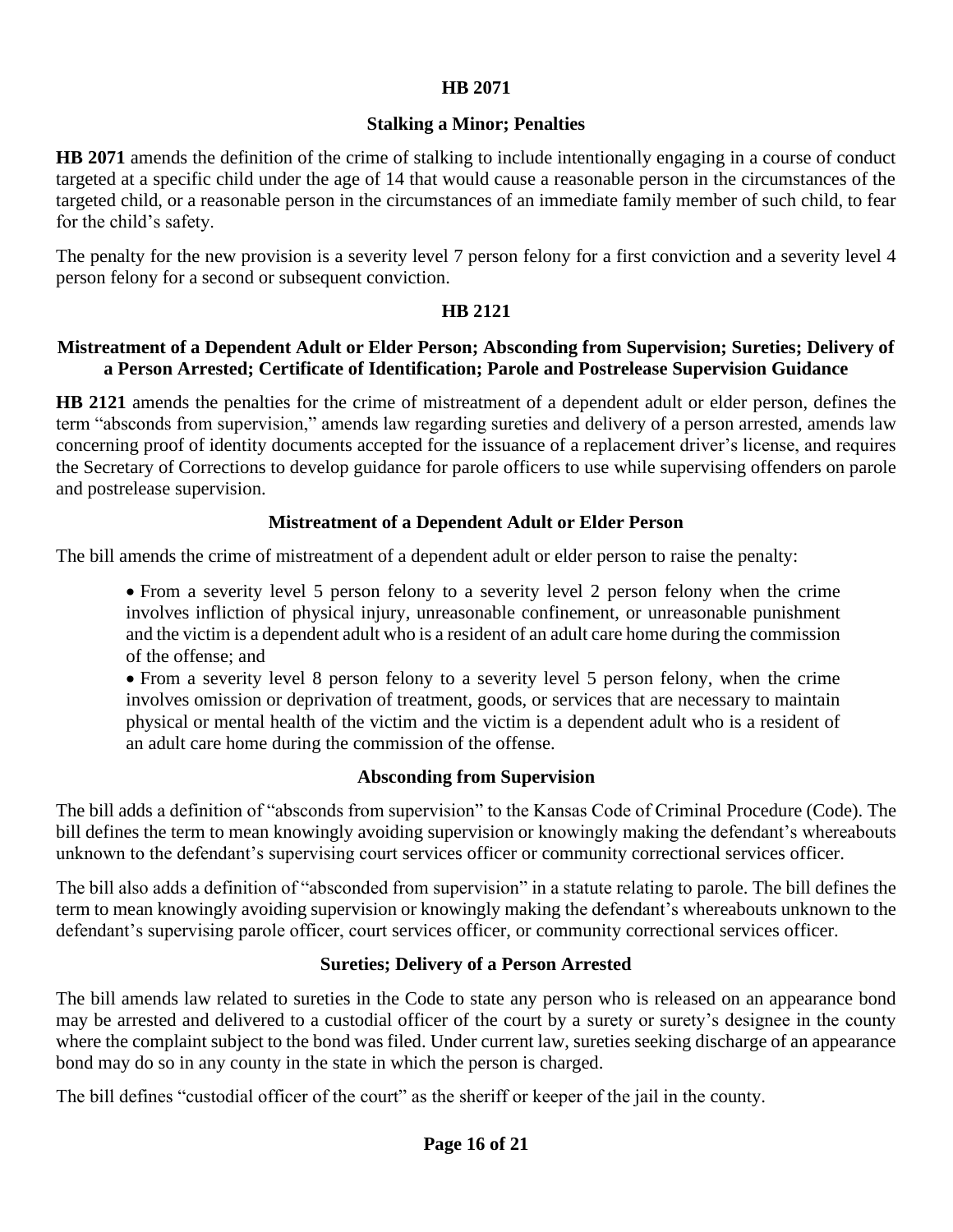#### **HB 2071**

#### **Stalking a Minor; Penalties**

**HB 2071** amends the definition of the crime of stalking to include intentionally engaging in a course of conduct targeted at a specific child under the age of 14 that would cause a reasonable person in the circumstances of the targeted child, or a reasonable person in the circumstances of an immediate family member of such child, to fear for the child's safety.

The penalty for the new provision is a severity level 7 person felony for a first conviction and a severity level 4 person felony for a second or subsequent conviction.

#### **HB 2121**

#### **Mistreatment of a Dependent Adult or Elder Person; Absconding from Supervision; Sureties; Delivery of a Person Arrested; Certificate of Identification; Parole and Postrelease Supervision Guidance**

**HB 2121** amends the penalties for the crime of mistreatment of a dependent adult or elder person, defines the term "absconds from supervision," amends law regarding sureties and delivery of a person arrested, amends law concerning proof of identity documents accepted for the issuance of a replacement driver's license, and requires the Secretary of Corrections to develop guidance for parole officers to use while supervising offenders on parole and postrelease supervision.

#### **Mistreatment of a Dependent Adult or Elder Person**

The bill amends the crime of mistreatment of a dependent adult or elder person to raise the penalty:

• From a severity level 5 person felony to a severity level 2 person felony when the crime involves infliction of physical injury, unreasonable confinement, or unreasonable punishment and the victim is a dependent adult who is a resident of an adult care home during the commission of the offense; and

• From a severity level 8 person felony to a severity level 5 person felony, when the crime involves omission or deprivation of treatment, goods, or services that are necessary to maintain physical or mental health of the victim and the victim is a dependent adult who is a resident of an adult care home during the commission of the offense.

#### **Absconding from Supervision**

The bill adds a definition of "absconds from supervision" to the Kansas Code of Criminal Procedure (Code). The bill defines the term to mean knowingly avoiding supervision or knowingly making the defendant's whereabouts unknown to the defendant's supervising court services officer or community correctional services officer.

The bill also adds a definition of "absconded from supervision" in a statute relating to parole. The bill defines the term to mean knowingly avoiding supervision or knowingly making the defendant's whereabouts unknown to the defendant's supervising parole officer, court services officer, or community correctional services officer.

#### **Sureties; Delivery of a Person Arrested**

The bill amends law related to sureties in the Code to state any person who is released on an appearance bond may be arrested and delivered to a custodial officer of the court by a surety or surety's designee in the county where the complaint subject to the bond was filed. Under current law, sureties seeking discharge of an appearance bond may do so in any county in the state in which the person is charged.

The bill defines "custodial officer of the court" as the sheriff or keeper of the jail in the county.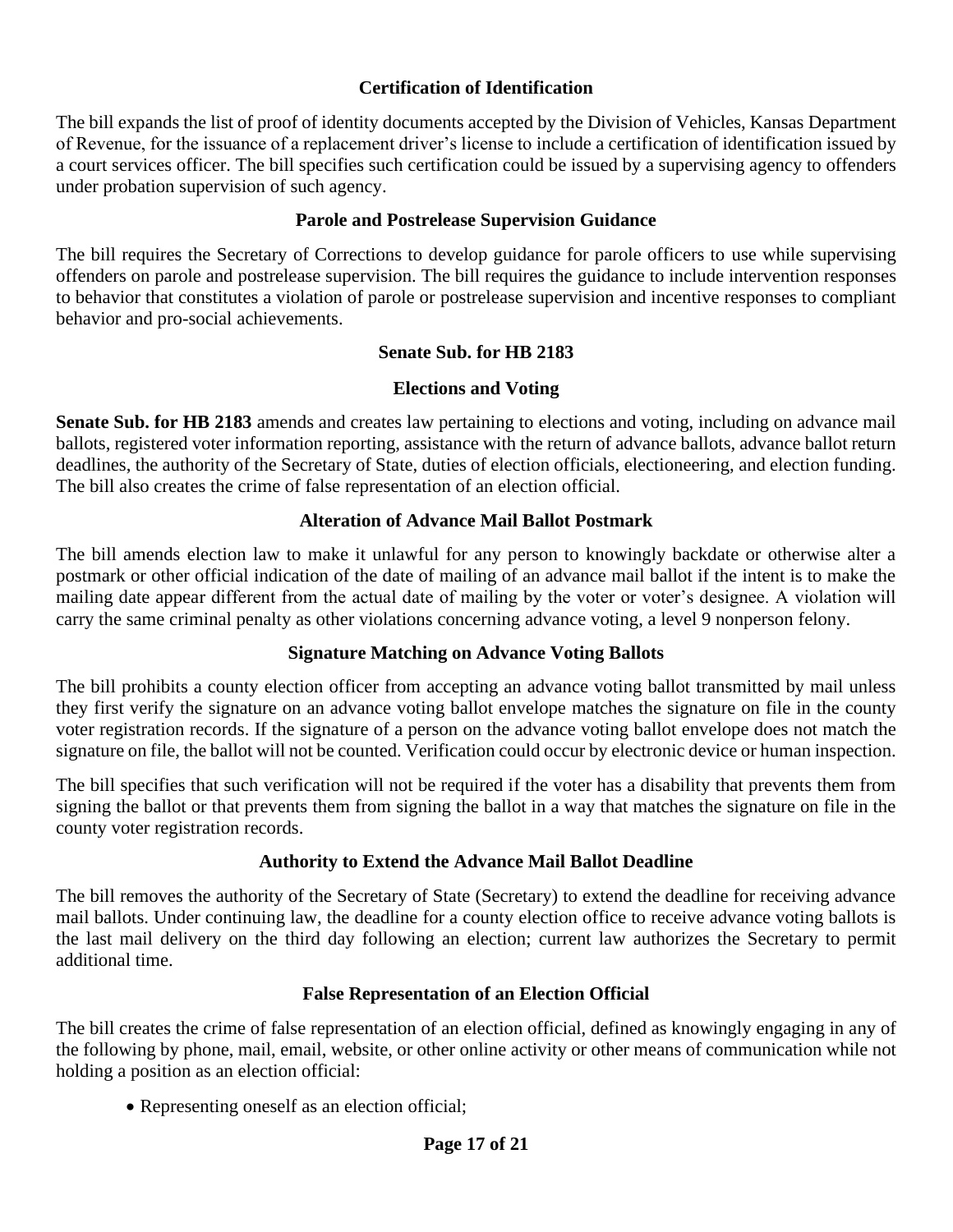### **Certification of Identification**

The bill expands the list of proof of identity documents accepted by the Division of Vehicles, Kansas Department of Revenue, for the issuance of a replacement driver's license to include a certification of identification issued by a court services officer. The bill specifies such certification could be issued by a supervising agency to offenders under probation supervision of such agency.

#### **Parole and Postrelease Supervision Guidance**

The bill requires the Secretary of Corrections to develop guidance for parole officers to use while supervising offenders on parole and postrelease supervision. The bill requires the guidance to include intervention responses to behavior that constitutes a violation of parole or postrelease supervision and incentive responses to compliant behavior and pro-social achievements.

#### **Senate Sub. for HB 2183**

#### **Elections and Voting**

**Senate Sub. for HB 2183** amends and creates law pertaining to elections and voting, including on advance mail ballots, registered voter information reporting, assistance with the return of advance ballots, advance ballot return deadlines, the authority of the Secretary of State, duties of election officials, electioneering, and election funding. The bill also creates the crime of false representation of an election official.

#### **Alteration of Advance Mail Ballot Postmark**

The bill amends election law to make it unlawful for any person to knowingly backdate or otherwise alter a postmark or other official indication of the date of mailing of an advance mail ballot if the intent is to make the mailing date appear different from the actual date of mailing by the voter or voter's designee. A violation will carry the same criminal penalty as other violations concerning advance voting, a level 9 nonperson felony.

#### **Signature Matching on Advance Voting Ballots**

The bill prohibits a county election officer from accepting an advance voting ballot transmitted by mail unless they first verify the signature on an advance voting ballot envelope matches the signature on file in the county voter registration records. If the signature of a person on the advance voting ballot envelope does not match the signature on file, the ballot will not be counted. Verification could occur by electronic device or human inspection.

The bill specifies that such verification will not be required if the voter has a disability that prevents them from signing the ballot or that prevents them from signing the ballot in a way that matches the signature on file in the county voter registration records.

#### **Authority to Extend the Advance Mail Ballot Deadline**

The bill removes the authority of the Secretary of State (Secretary) to extend the deadline for receiving advance mail ballots. Under continuing law, the deadline for a county election office to receive advance voting ballots is the last mail delivery on the third day following an election; current law authorizes the Secretary to permit additional time.

#### **False Representation of an Election Official**

The bill creates the crime of false representation of an election official, defined as knowingly engaging in any of the following by phone, mail, email, website, or other online activity or other means of communication while not holding a position as an election official:

• Representing oneself as an election official;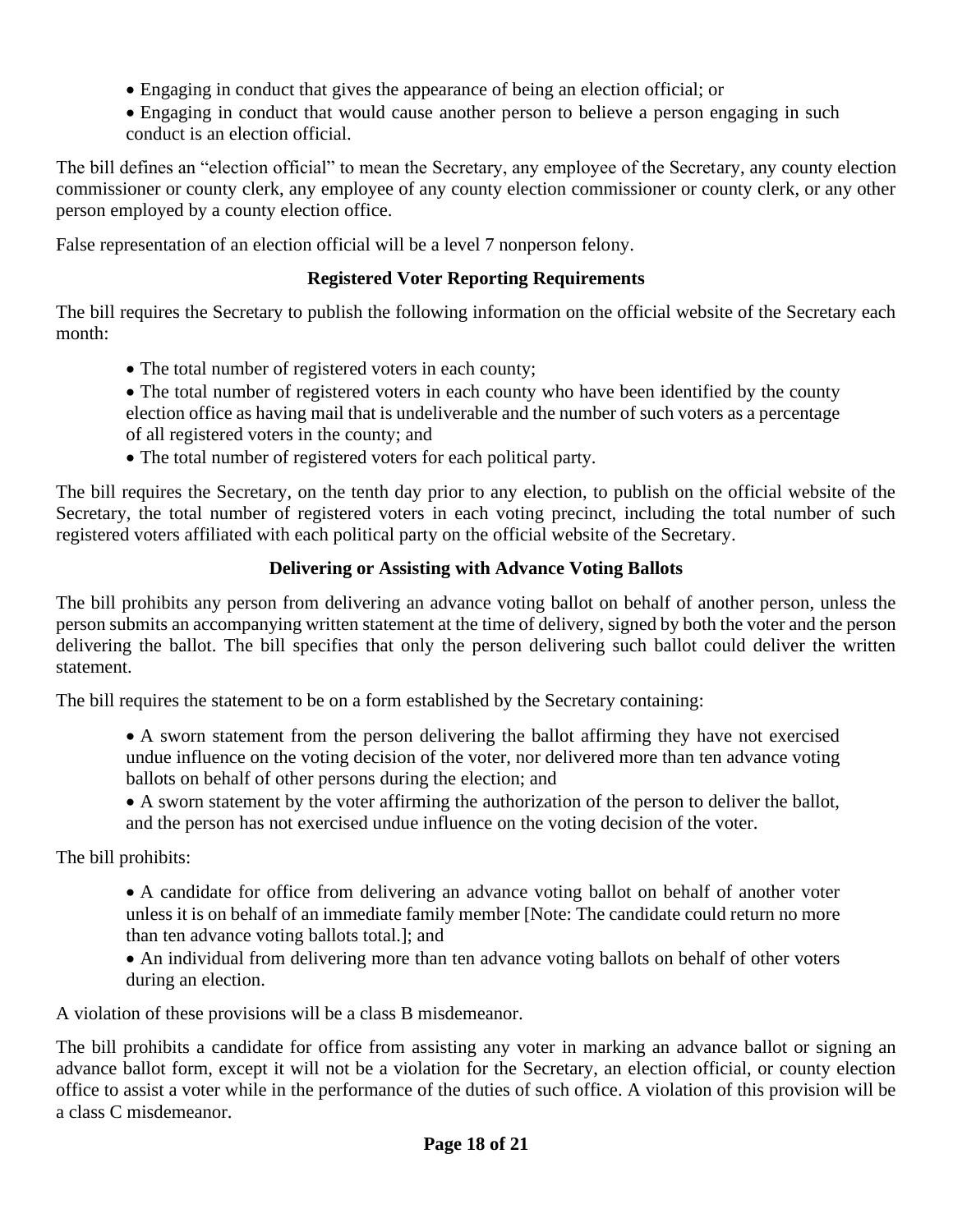- Engaging in conduct that gives the appearance of being an election official; or
- Engaging in conduct that would cause another person to believe a person engaging in such conduct is an election official.

The bill defines an "election official" to mean the Secretary, any employee of the Secretary, any county election commissioner or county clerk, any employee of any county election commissioner or county clerk, or any other person employed by a county election office.

False representation of an election official will be a level 7 nonperson felony.

### **Registered Voter Reporting Requirements**

The bill requires the Secretary to publish the following information on the official website of the Secretary each month:

- The total number of registered voters in each county;
- The total number of registered voters in each county who have been identified by the county election office as having mail that is undeliverable and the number of such voters as a percentage of all registered voters in the county; and
- The total number of registered voters for each political party.

The bill requires the Secretary, on the tenth day prior to any election, to publish on the official website of the Secretary, the total number of registered voters in each voting precinct, including the total number of such registered voters affiliated with each political party on the official website of the Secretary.

### **Delivering or Assisting with Advance Voting Ballots**

The bill prohibits any person from delivering an advance voting ballot on behalf of another person, unless the person submits an accompanying written statement at the time of delivery, signed by both the voter and the person delivering the ballot. The bill specifies that only the person delivering such ballot could deliver the written statement.

The bill requires the statement to be on a form established by the Secretary containing:

- A sworn statement from the person delivering the ballot affirming they have not exercised undue influence on the voting decision of the voter, nor delivered more than ten advance voting ballots on behalf of other persons during the election; and
- A sworn statement by the voter affirming the authorization of the person to deliver the ballot, and the person has not exercised undue influence on the voting decision of the voter.

The bill prohibits:

- A candidate for office from delivering an advance voting ballot on behalf of another voter unless it is on behalf of an immediate family member [Note: The candidate could return no more than ten advance voting ballots total.]; and
- An individual from delivering more than ten advance voting ballots on behalf of other voters during an election.

A violation of these provisions will be a class B misdemeanor.

The bill prohibits a candidate for office from assisting any voter in marking an advance ballot or signing an advance ballot form, except it will not be a violation for the Secretary, an election official, or county election office to assist a voter while in the performance of the duties of such office. A violation of this provision will be a class C misdemeanor.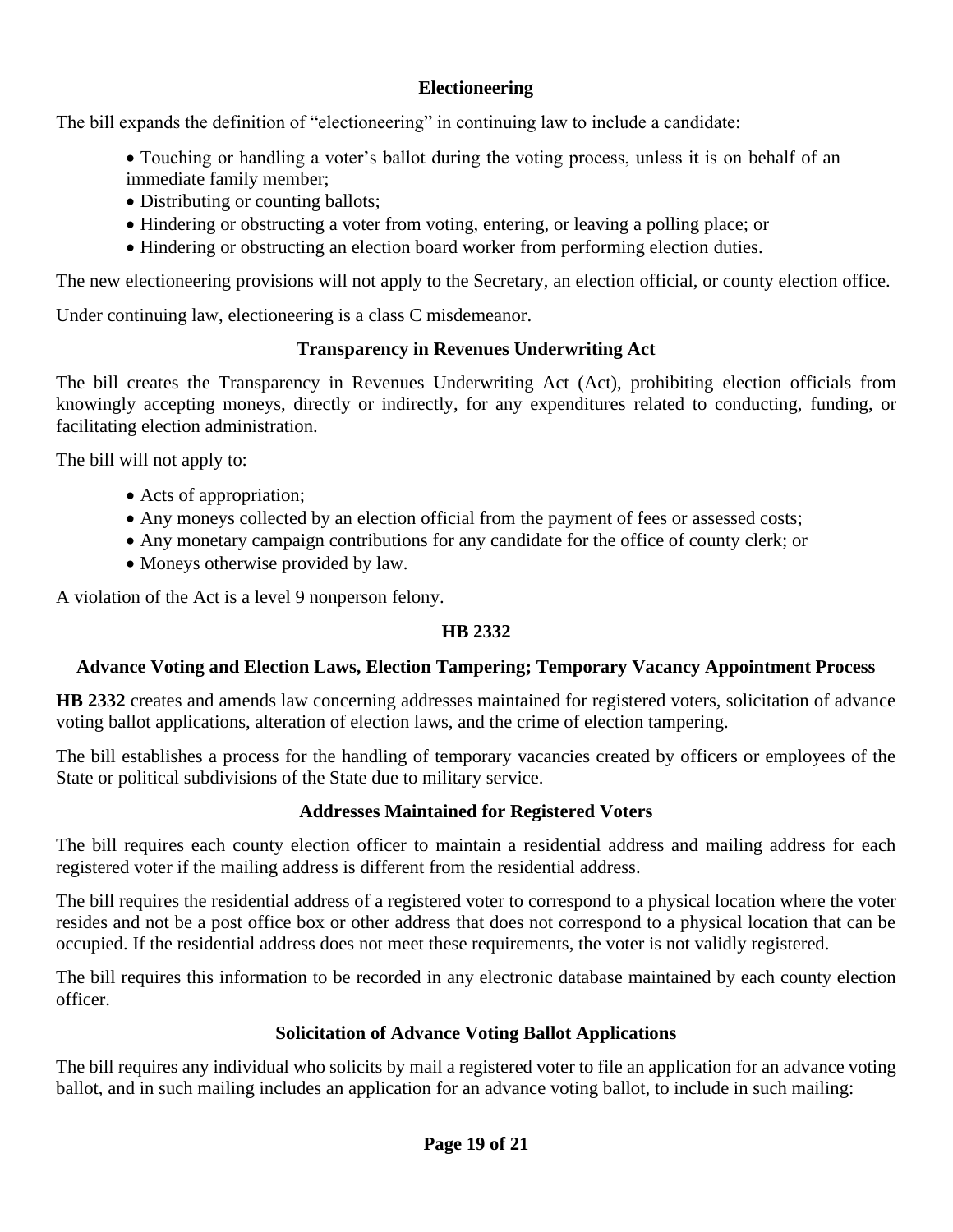### **Electioneering**

The bill expands the definition of "electioneering" in continuing law to include a candidate:

- Touching or handling a voter's ballot during the voting process, unless it is on behalf of an immediate family member;
- Distributing or counting ballots;
- Hindering or obstructing a voter from voting, entering, or leaving a polling place; or
- Hindering or obstructing an election board worker from performing election duties.

The new electioneering provisions will not apply to the Secretary, an election official, or county election office.

Under continuing law, electioneering is a class C misdemeanor.

### **Transparency in Revenues Underwriting Act**

The bill creates the Transparency in Revenues Underwriting Act (Act), prohibiting election officials from knowingly accepting moneys, directly or indirectly, for any expenditures related to conducting, funding, or facilitating election administration.

The bill will not apply to:

- Acts of appropriation;
- Any moneys collected by an election official from the payment of fees or assessed costs;
- Any monetary campaign contributions for any candidate for the office of county clerk; or
- Moneys otherwise provided by law.

A violation of the Act is a level 9 nonperson felony.

### **HB 2332**

### **Advance Voting and Election Laws, Election Tampering; Temporary Vacancy Appointment Process**

**HB 2332** creates and amends law concerning addresses maintained for registered voters, solicitation of advance voting ballot applications, alteration of election laws, and the crime of election tampering.

The bill establishes a process for the handling of temporary vacancies created by officers or employees of the State or political subdivisions of the State due to military service.

### **Addresses Maintained for Registered Voters**

The bill requires each county election officer to maintain a residential address and mailing address for each registered voter if the mailing address is different from the residential address.

The bill requires the residential address of a registered voter to correspond to a physical location where the voter resides and not be a post office box or other address that does not correspond to a physical location that can be occupied. If the residential address does not meet these requirements, the voter is not validly registered.

The bill requires this information to be recorded in any electronic database maintained by each county election officer.

### **Solicitation of Advance Voting Ballot Applications**

The bill requires any individual who solicits by mail a registered voter to file an application for an advance voting ballot, and in such mailing includes an application for an advance voting ballot, to include in such mailing: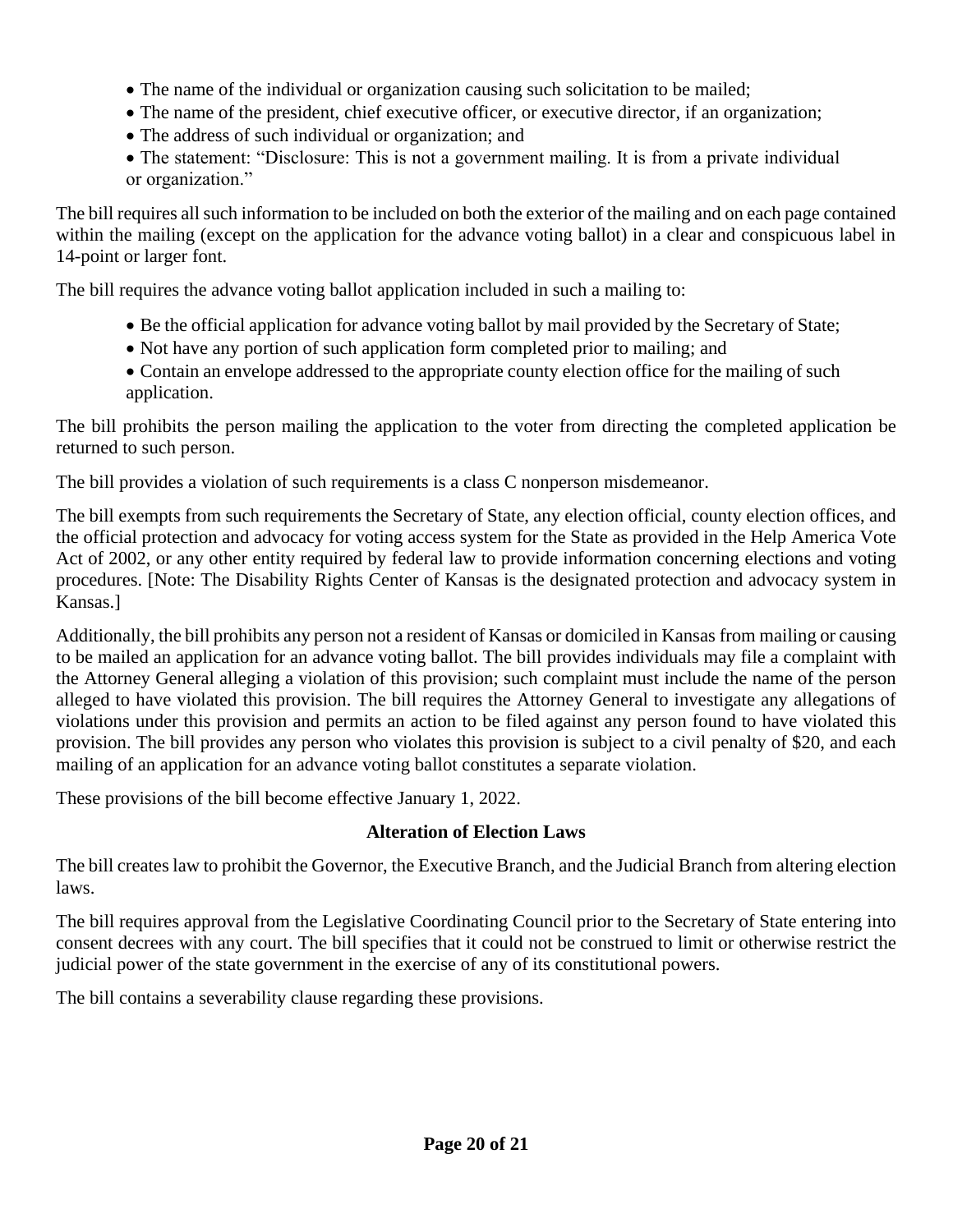- The name of the individual or organization causing such solicitation to be mailed;
- The name of the president, chief executive officer, or executive director, if an organization;
- The address of such individual or organization; and
- The statement: "Disclosure: This is not a government mailing. It is from a private individual or organization."

The bill requires all such information to be included on both the exterior of the mailing and on each page contained within the mailing (except on the application for the advance voting ballot) in a clear and conspicuous label in 14-point or larger font.

The bill requires the advance voting ballot application included in such a mailing to:

- Be the official application for advance voting ballot by mail provided by the Secretary of State;
- Not have any portion of such application form completed prior to mailing; and
- Contain an envelope addressed to the appropriate county election office for the mailing of such application.

The bill prohibits the person mailing the application to the voter from directing the completed application be returned to such person.

The bill provides a violation of such requirements is a class C nonperson misdemeanor.

The bill exempts from such requirements the Secretary of State, any election official, county election offices, and the official protection and advocacy for voting access system for the State as provided in the Help America Vote Act of 2002, or any other entity required by federal law to provide information concerning elections and voting procedures. [Note: The Disability Rights Center of Kansas is the designated protection and advocacy system in Kansas.]

Additionally, the bill prohibits any person not a resident of Kansas or domiciled in Kansas from mailing or causing to be mailed an application for an advance voting ballot. The bill provides individuals may file a complaint with the Attorney General alleging a violation of this provision; such complaint must include the name of the person alleged to have violated this provision. The bill requires the Attorney General to investigate any allegations of violations under this provision and permits an action to be filed against any person found to have violated this provision. The bill provides any person who violates this provision is subject to a civil penalty of \$20, and each mailing of an application for an advance voting ballot constitutes a separate violation.

These provisions of the bill become effective January 1, 2022.

### **Alteration of Election Laws**

The bill creates law to prohibit the Governor, the Executive Branch, and the Judicial Branch from altering election laws.

The bill requires approval from the Legislative Coordinating Council prior to the Secretary of State entering into consent decrees with any court. The bill specifies that it could not be construed to limit or otherwise restrict the judicial power of the state government in the exercise of any of its constitutional powers.

The bill contains a severability clause regarding these provisions.